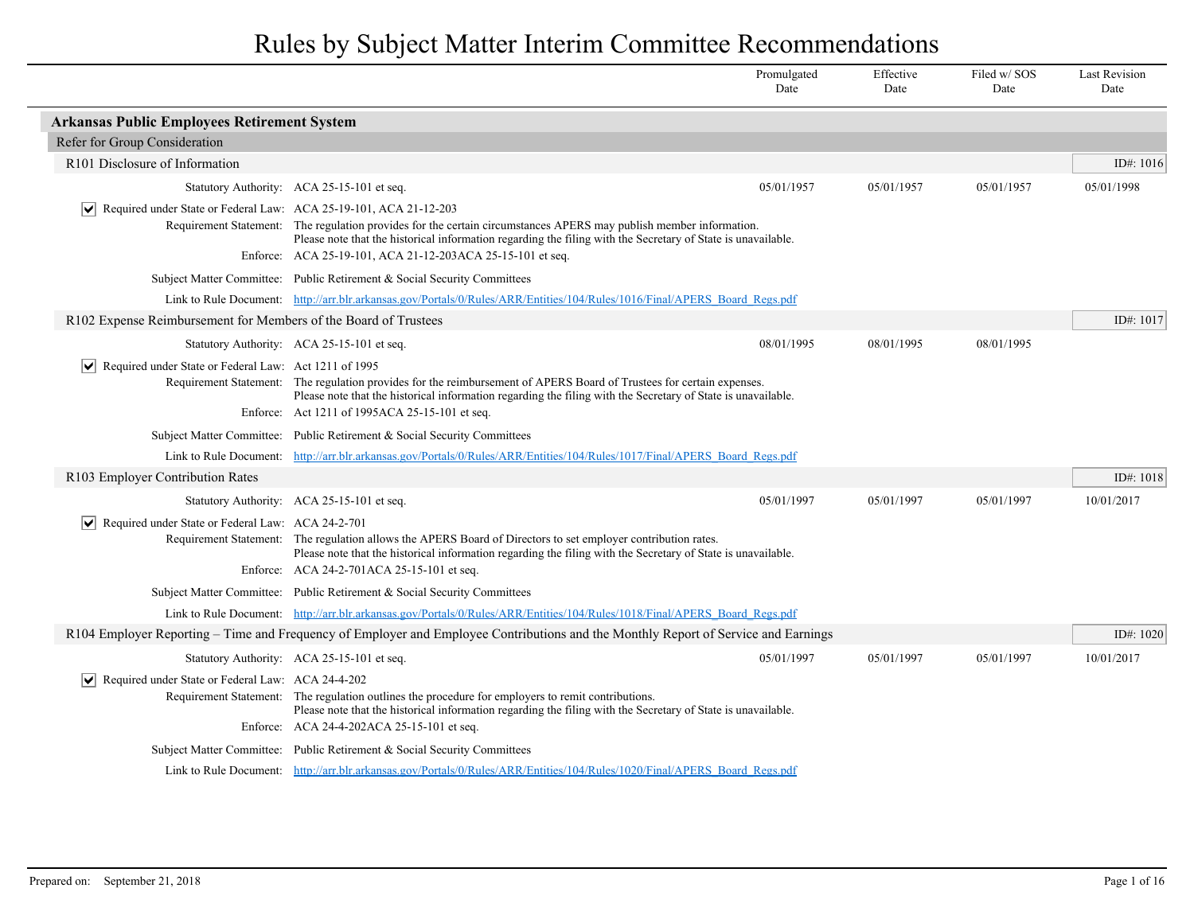|                                                                        |                                                                                                                                                                                                                                       | Promulgated<br>Date | Effective<br>Date | Filed w/SOS<br>Date | <b>Last Revision</b><br>Date |
|------------------------------------------------------------------------|---------------------------------------------------------------------------------------------------------------------------------------------------------------------------------------------------------------------------------------|---------------------|-------------------|---------------------|------------------------------|
| <b>Arkansas Public Employees Retirement System</b>                     |                                                                                                                                                                                                                                       |                     |                   |                     |                              |
| Refer for Group Consideration                                          |                                                                                                                                                                                                                                       |                     |                   |                     |                              |
| R <sub>101</sub> Disclosure of Information                             |                                                                                                                                                                                                                                       |                     |                   |                     | ID#: $1016$                  |
|                                                                        | Statutory Authority: ACA 25-15-101 et seq.                                                                                                                                                                                            | 05/01/1957          | 05/01/1957        | 05/01/1957          | 05/01/1998                   |
| Required under State or Federal Law: ACA 25-19-101, ACA 21-12-203      |                                                                                                                                                                                                                                       |                     |                   |                     |                              |
|                                                                        | Requirement Statement: The regulation provides for the certain circumstances APERS may publish member information.<br>Please note that the historical information regarding the filing with the Secretary of State is unavailable.    |                     |                   |                     |                              |
|                                                                        | Enforce: ACA 25-19-101, ACA 21-12-203ACA 25-15-101 et seq.                                                                                                                                                                            |                     |                   |                     |                              |
|                                                                        | Subject Matter Committee: Public Retirement & Social Security Committees                                                                                                                                                              |                     |                   |                     |                              |
|                                                                        | Link to Rule Document: http://arr.blr.arkansas.gov/Portals/0/Rules/ARR/Entities/104/Rules/1016/Final/APERS Board Regs.pdf                                                                                                             |                     |                   |                     |                              |
| R102 Expense Reimbursement for Members of the Board of Trustees        |                                                                                                                                                                                                                                       |                     |                   |                     | ID#: $1017$                  |
|                                                                        | Statutory Authority: ACA 25-15-101 et seq.                                                                                                                                                                                            | 08/01/1995          | 08/01/1995        | 08/01/1995          |                              |
| $\triangleright$ Required under State or Federal Law: Act 1211 of 1995 |                                                                                                                                                                                                                                       |                     |                   |                     |                              |
|                                                                        | Requirement Statement: The regulation provides for the reimbursement of APERS Board of Trustees for certain expenses.<br>Please note that the historical information regarding the filing with the Secretary of State is unavailable. |                     |                   |                     |                              |
|                                                                        | Enforce: Act 1211 of 1995ACA 25-15-101 et seq.                                                                                                                                                                                        |                     |                   |                     |                              |
|                                                                        | Subject Matter Committee: Public Retirement & Social Security Committees                                                                                                                                                              |                     |                   |                     |                              |
|                                                                        | Link to Rule Document: http://arr.blr.arkansas.gov/Portals/0/Rules/ARR/Entities/104/Rules/1017/Final/APERS Board Regs.pdf                                                                                                             |                     |                   |                     |                              |
| R103 Employer Contribution Rates                                       |                                                                                                                                                                                                                                       |                     |                   |                     | ID#: $1018$                  |
|                                                                        | Statutory Authority: ACA 25-15-101 et seq.                                                                                                                                                                                            | 05/01/1997          | 05/01/1997        | 05/01/1997          | 10/01/2017                   |
| $\triangleright$ Required under State or Federal Law: ACA 24-2-701     |                                                                                                                                                                                                                                       |                     |                   |                     |                              |
|                                                                        | Requirement Statement: The regulation allows the APERS Board of Directors to set employer contribution rates.<br>Please note that the historical information regarding the filing with the Secretary of State is unavailable.         |                     |                   |                     |                              |
|                                                                        | Enforce: ACA 24-2-701ACA 25-15-101 et seq.                                                                                                                                                                                            |                     |                   |                     |                              |
|                                                                        | Subject Matter Committee: Public Retirement & Social Security Committees                                                                                                                                                              |                     |                   |                     |                              |
|                                                                        | Link to Rule Document: http://arr.blr.arkansas.gov/Portals/0/Rules/ARR/Entities/104/Rules/1018/Final/APERS Board Regs.pdf                                                                                                             |                     |                   |                     |                              |
|                                                                        | R104 Employer Reporting – Time and Frequency of Employer and Employee Contributions and the Monthly Report of Service and Earnings                                                                                                    |                     |                   |                     | ID#: 1020                    |
|                                                                        | Statutory Authority: ACA 25-15-101 et seq.                                                                                                                                                                                            | 05/01/1997          | 05/01/1997        | 05/01/1997          | 10/01/2017                   |
| Required under State or Federal Law: ACA 24-4-202                      |                                                                                                                                                                                                                                       |                     |                   |                     |                              |
|                                                                        | Requirement Statement: The regulation outlines the procedure for employers to remit contributions.<br>Please note that the historical information regarding the filing with the Secretary of State is unavailable.                    |                     |                   |                     |                              |
|                                                                        | Enforce: ACA 24-4-202ACA 25-15-101 et seq.                                                                                                                                                                                            |                     |                   |                     |                              |
|                                                                        | Subject Matter Committee: Public Retirement & Social Security Committees                                                                                                                                                              |                     |                   |                     |                              |
|                                                                        | Link to Rule Document: http://arr.blr.arkansas.gov/Portals/0/Rules/ARR/Entities/104/Rules/1020/Final/APERS Board Regs.pdf                                                                                                             |                     |                   |                     |                              |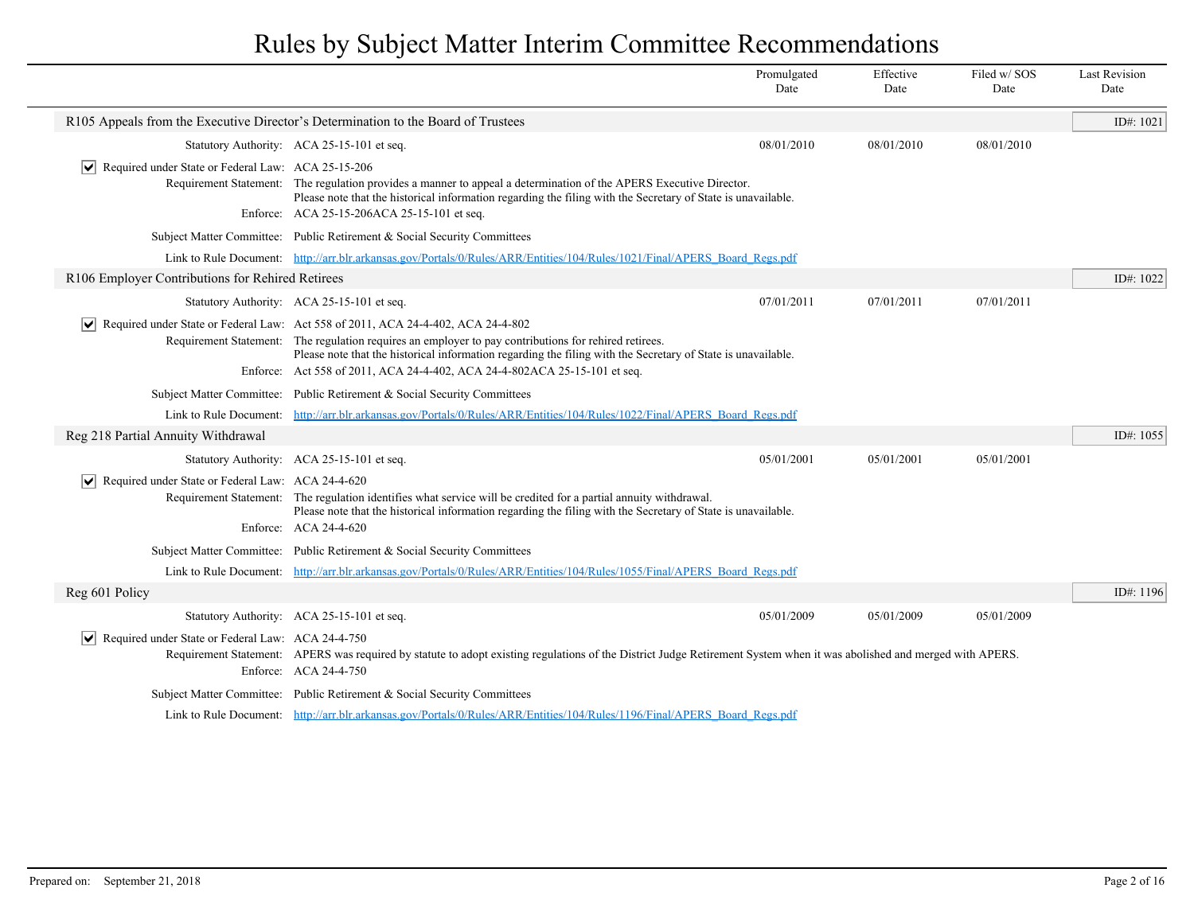|                                                                    |                                                                                                                                                                                                                                                                                                                                                                                                                 | Promulgated<br>Date | Effective<br>Date | Filed w/SOS<br>Date | <b>Last Revision</b><br>Date |
|--------------------------------------------------------------------|-----------------------------------------------------------------------------------------------------------------------------------------------------------------------------------------------------------------------------------------------------------------------------------------------------------------------------------------------------------------------------------------------------------------|---------------------|-------------------|---------------------|------------------------------|
|                                                                    | R105 Appeals from the Executive Director's Determination to the Board of Trustees                                                                                                                                                                                                                                                                                                                               |                     |                   |                     | ID#: $1021$                  |
|                                                                    | Statutory Authority: ACA 25-15-101 et seq.                                                                                                                                                                                                                                                                                                                                                                      | 08/01/2010          | 08/01/2010        | 08/01/2010          |                              |
| $ \mathbf{v} $ Required under State or Federal Law: ACA 25-15-206  | Requirement Statement: The regulation provides a manner to appeal a determination of the APERS Executive Director.<br>Please note that the historical information regarding the filing with the Secretary of State is unavailable.<br>Enforce: ACA 25-15-206ACA 25-15-101 et seq.                                                                                                                               |                     |                   |                     |                              |
|                                                                    | Subject Matter Committee: Public Retirement & Social Security Committees                                                                                                                                                                                                                                                                                                                                        |                     |                   |                     |                              |
|                                                                    | Link to Rule Document: http://arr.blr.arkansas.gov/Portals/0/Rules/ARR/Entities/104/Rules/1021/Final/APERS Board Regs.pdf                                                                                                                                                                                                                                                                                       |                     |                   |                     |                              |
| R106 Employer Contributions for Rehired Retirees                   |                                                                                                                                                                                                                                                                                                                                                                                                                 |                     |                   |                     | ID#: 1022                    |
|                                                                    | Statutory Authority: ACA 25-15-101 et seq.                                                                                                                                                                                                                                                                                                                                                                      | 07/01/2011          | 07/01/2011        | 07/01/2011          |                              |
|                                                                    | $\vert \mathbf{v} \vert$ Required under State or Federal Law: Act 558 of 2011, ACA 24-4-402, ACA 24-4-802<br>Requirement Statement: The regulation requires an employer to pay contributions for rehired retirees.<br>Please note that the historical information regarding the filing with the Secretary of State is unavailable.<br>Enforce: Act 558 of 2011, ACA 24-4-402, ACA 24-4-802ACA 25-15-101 et seq. |                     |                   |                     |                              |
|                                                                    | Subject Matter Committee: Public Retirement & Social Security Committees                                                                                                                                                                                                                                                                                                                                        |                     |                   |                     |                              |
|                                                                    | Link to Rule Document: http://arr.blr.arkansas.gov/Portals/0/Rules/ARR/Entities/104/Rules/1022/Final/APERS Board Regs.pdf                                                                                                                                                                                                                                                                                       |                     |                   |                     |                              |
| Reg 218 Partial Annuity Withdrawal                                 |                                                                                                                                                                                                                                                                                                                                                                                                                 |                     |                   |                     | ID#: $1055$                  |
|                                                                    | Statutory Authority: ACA 25-15-101 et seq                                                                                                                                                                                                                                                                                                                                                                       | 05/01/2001          | 05/01/2001        | 05/01/2001          |                              |
| $\triangleright$ Required under State or Federal Law: ACA 24-4-620 | Requirement Statement: The regulation identifies what service will be credited for a partial annuity withdrawal.<br>Please note that the historical information regarding the filing with the Secretary of State is unavailable.<br>Enforce: ACA 24-4-620                                                                                                                                                       |                     |                   |                     |                              |
|                                                                    | Subject Matter Committee: Public Retirement & Social Security Committees                                                                                                                                                                                                                                                                                                                                        |                     |                   |                     |                              |
|                                                                    | Link to Rule Document: http://arr.blr.arkansas.gov/Portals/0/Rules/ARR/Entities/104/Rules/1055/Final/APERS Board Regs.pdf                                                                                                                                                                                                                                                                                       |                     |                   |                     |                              |
| Reg 601 Policy                                                     |                                                                                                                                                                                                                                                                                                                                                                                                                 |                     |                   |                     | ID#: 1196                    |
|                                                                    | Statutory Authority: ACA 25-15-101 et seq.                                                                                                                                                                                                                                                                                                                                                                      | 05/01/2009          | 05/01/2009        | 05/01/2009          |                              |
| $ \mathbf{v} $ Required under State or Federal Law: ACA 24-4-750   | Requirement Statement: APERS was required by statute to adopt existing regulations of the District Judge Retirement System when it was abolished and merged with APERS.<br>Enforce: ACA 24-4-750                                                                                                                                                                                                                |                     |                   |                     |                              |
|                                                                    | Subject Matter Committee: Public Retirement & Social Security Committees                                                                                                                                                                                                                                                                                                                                        |                     |                   |                     |                              |
|                                                                    | Link to Rule Document: http://arr.blr.arkansas.gov/Portals/0/Rules/ARR/Entities/104/Rules/1196/Final/APERS Board Regs.pdf                                                                                                                                                                                                                                                                                       |                     |                   |                     |                              |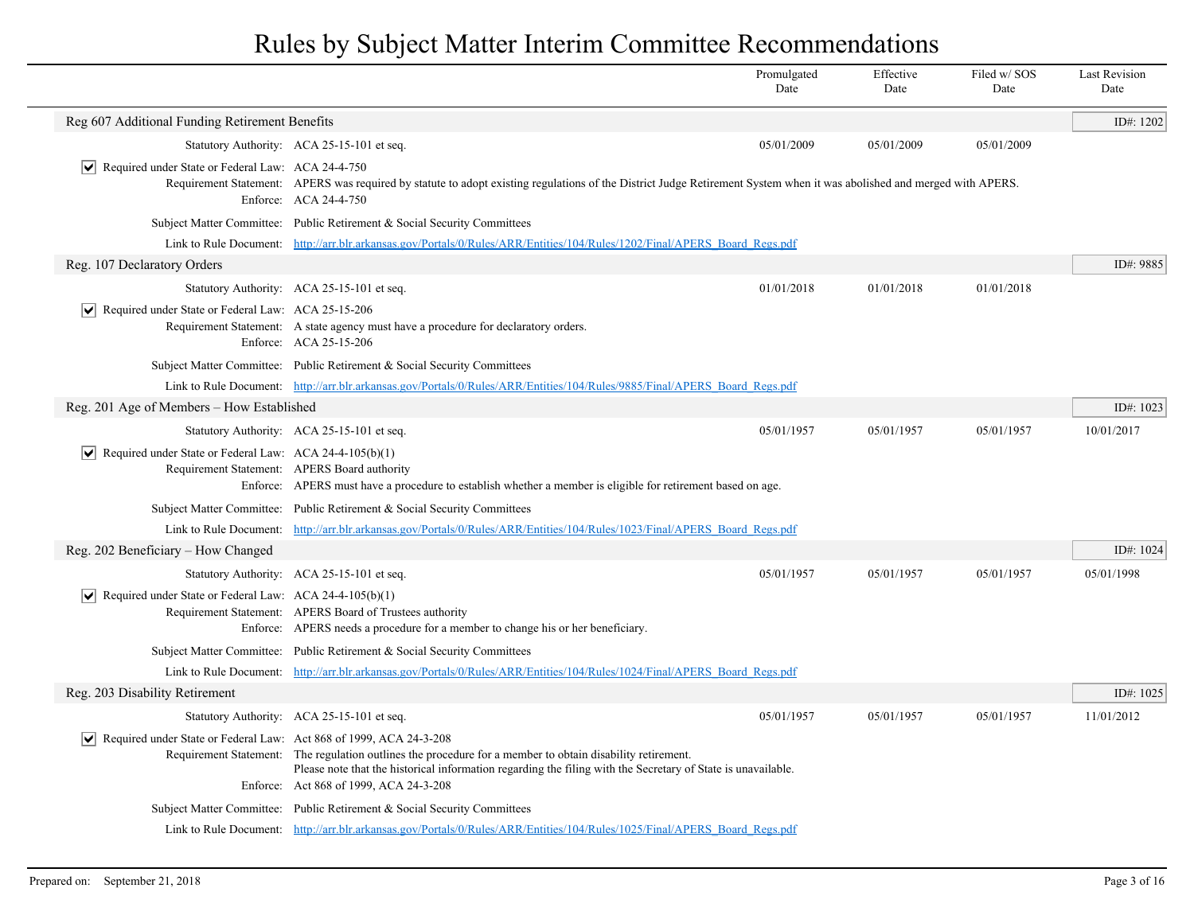|                                                                                   |                                                                                                                                                                                                                                                                      | Promulgated<br>Date | Effective<br>Date | Filed w/SOS<br>Date | <b>Last Revision</b><br>Date |
|-----------------------------------------------------------------------------------|----------------------------------------------------------------------------------------------------------------------------------------------------------------------------------------------------------------------------------------------------------------------|---------------------|-------------------|---------------------|------------------------------|
| Reg 607 Additional Funding Retirement Benefits                                    |                                                                                                                                                                                                                                                                      |                     |                   |                     | ID#: 1202                    |
|                                                                                   | Statutory Authority: ACA 25-15-101 et seq.                                                                                                                                                                                                                           | 05/01/2009          | 05/01/2009        | 05/01/2009          |                              |
| $ \mathbf{v} $ Required under State or Federal Law: ACA 24-4-750                  | Requirement Statement: APERS was required by statute to adopt existing regulations of the District Judge Retirement System when it was abolished and merged with APERS.<br>Enforce: ACA 24-4-750                                                                     |                     |                   |                     |                              |
|                                                                                   | Subject Matter Committee: Public Retirement & Social Security Committees                                                                                                                                                                                             |                     |                   |                     |                              |
|                                                                                   | Link to Rule Document: http://arr.blr.arkansas.gov/Portals/0/Rules/ARR/Entities/104/Rules/1202/Final/APERS Board Regs.pdf                                                                                                                                            |                     |                   |                     |                              |
| Reg. 107 Declaratory Orders                                                       |                                                                                                                                                                                                                                                                      |                     |                   |                     | ID#: 9885                    |
|                                                                                   | Statutory Authority: ACA 25-15-101 et seq.                                                                                                                                                                                                                           | 01/01/2018          | 01/01/2018        | 01/01/2018          |                              |
| $ \mathbf{v} $ Required under State or Federal Law: ACA 25-15-206                 | Requirement Statement: A state agency must have a procedure for declaratory orders.<br>Enforce: ACA 25-15-206                                                                                                                                                        |                     |                   |                     |                              |
|                                                                                   | Subject Matter Committee: Public Retirement & Social Security Committees                                                                                                                                                                                             |                     |                   |                     |                              |
|                                                                                   | Link to Rule Document: http://arr.blr.arkansas.gov/Portals/0/Rules/ARR/Entities/104/Rules/9885/Final/APERS Board Regs.pdf                                                                                                                                            |                     |                   |                     |                              |
| Reg. 201 Age of Members - How Established                                         |                                                                                                                                                                                                                                                                      |                     |                   |                     | ID#: 1023                    |
|                                                                                   | Statutory Authority: ACA 25-15-101 et seq.                                                                                                                                                                                                                           | 05/01/1957          | 05/01/1957        | 05/01/1957          | 10/01/2017                   |
| $\triangledown$ Required under State or Federal Law: ACA 24-4-105(b)(1)           | Requirement Statement: APERS Board authority<br>Enforce: APERS must have a procedure to establish whether a member is eligible for retirement based on age.                                                                                                          |                     |                   |                     |                              |
|                                                                                   | Subject Matter Committee: Public Retirement & Social Security Committees                                                                                                                                                                                             |                     |                   |                     |                              |
|                                                                                   | Link to Rule Document: http://arr.blr.arkansas.gov/Portals/0/Rules/ARR/Entities/104/Rules/1023/Final/APERS Board Regs.pdf                                                                                                                                            |                     |                   |                     |                              |
| Reg. 202 Beneficiary - How Changed                                                |                                                                                                                                                                                                                                                                      |                     |                   |                     | ID#: 1024                    |
|                                                                                   | Statutory Authority: ACA 25-15-101 et seq.                                                                                                                                                                                                                           | 05/01/1957          | 05/01/1957        | 05/01/1957          | 05/01/1998                   |
| $ \mathbf{v} $ Required under State or Federal Law: ACA 24-4-105(b)(1)            | Requirement Statement: APERS Board of Trustees authority<br>Enforce: APERS needs a procedure for a member to change his or her beneficiary.                                                                                                                          |                     |                   |                     |                              |
|                                                                                   | Subject Matter Committee: Public Retirement & Social Security Committees                                                                                                                                                                                             |                     |                   |                     |                              |
|                                                                                   | Link to Rule Document: http://arr.blr.arkansas.gov/Portals/0/Rules/ARR/Entities/104/Rules/1024/Final/APERS Board Regs.pdf                                                                                                                                            |                     |                   |                     |                              |
| Reg. 203 Disability Retirement                                                    |                                                                                                                                                                                                                                                                      |                     |                   |                     | ID#: 1025                    |
|                                                                                   | Statutory Authority: ACA 25-15-101 et seq.                                                                                                                                                                                                                           | 05/01/1957          | 05/01/1957        | 05/01/1957          | 11/01/2012                   |
| $ \mathbf{v} $ Required under State or Federal Law: Act 868 of 1999, ACA 24-3-208 | Requirement Statement: The regulation outlines the procedure for a member to obtain disability retirement.<br>Please note that the historical information regarding the filing with the Secretary of State is unavailable.<br>Enforce: Act 868 of 1999, ACA 24-3-208 |                     |                   |                     |                              |
|                                                                                   | Subject Matter Committee: Public Retirement & Social Security Committees                                                                                                                                                                                             |                     |                   |                     |                              |
|                                                                                   | Link to Rule Document: http://arr.blr.arkansas.gov/Portals/0/Rules/ARR/Entities/104/Rules/1025/Final/APERS Board Regs.pdf                                                                                                                                            |                     |                   |                     |                              |

 $\overline{\phantom{a}}$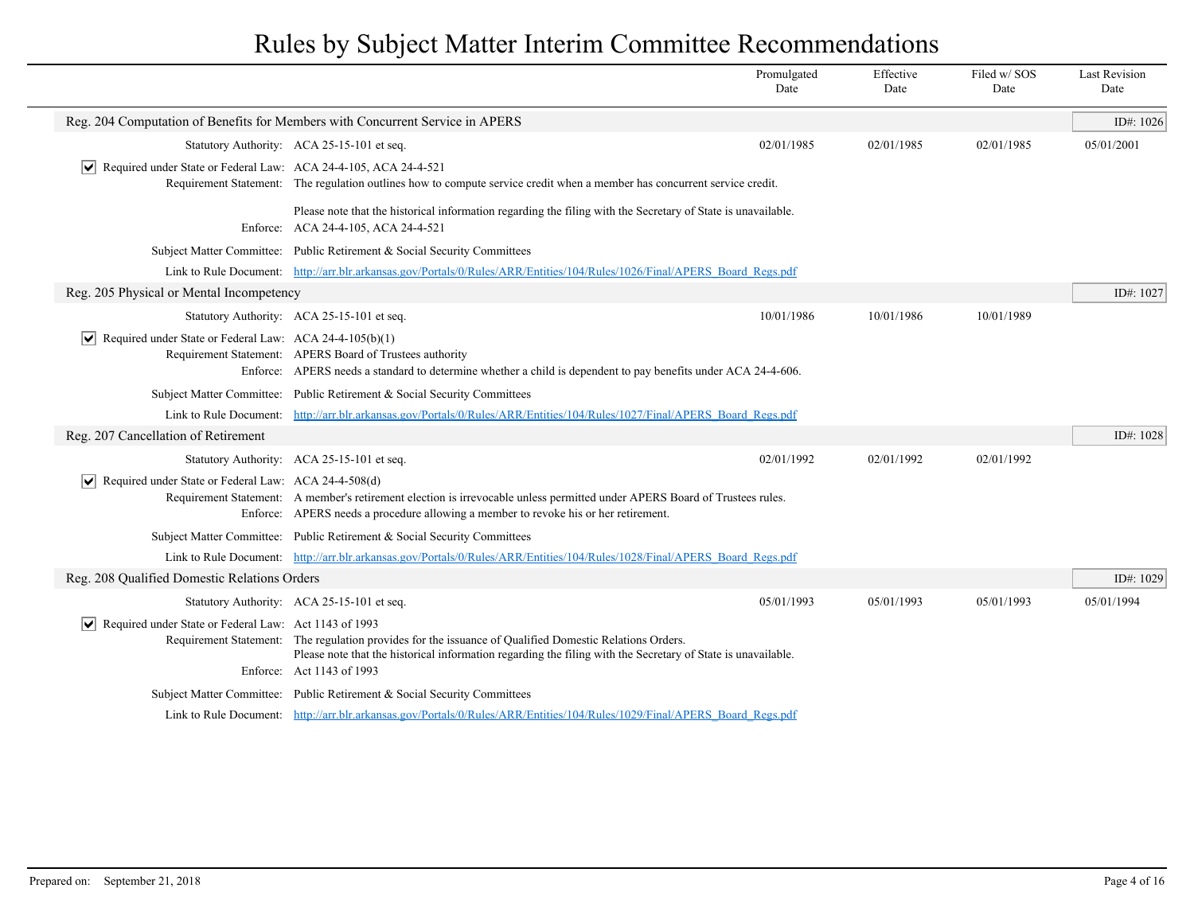|                                                                            |                                                                                                                                                                                                                                                      | Promulgated<br>Date | Effective<br>Date | Filed w/SOS<br>Date | <b>Last Revision</b><br>Date |
|----------------------------------------------------------------------------|------------------------------------------------------------------------------------------------------------------------------------------------------------------------------------------------------------------------------------------------------|---------------------|-------------------|---------------------|------------------------------|
|                                                                            | Reg. 204 Computation of Benefits for Members with Concurrent Service in APERS                                                                                                                                                                        |                     |                   |                     | ID#: 1026                    |
|                                                                            | Statutory Authority: ACA 25-15-101 et seq.                                                                                                                                                                                                           | 02/01/1985          | 02/01/1985        | 02/01/1985          | 05/01/2001                   |
| Required under State or Federal Law: ACA 24-4-105, ACA 24-4-521            | Requirement Statement: The regulation outlines how to compute service credit when a member has concurrent service credit.                                                                                                                            |                     |                   |                     |                              |
|                                                                            | Please note that the historical information regarding the filing with the Secretary of State is unavailable.<br>Enforce: ACA 24-4-105, ACA 24-4-521                                                                                                  |                     |                   |                     |                              |
|                                                                            | Subject Matter Committee: Public Retirement & Social Security Committees                                                                                                                                                                             |                     |                   |                     |                              |
|                                                                            | Link to Rule Document: http://arr.blr.arkansas.gov/Portals/0/Rules/ARR/Entities/104/Rules/1026/Final/APERS Board Regs.pdf                                                                                                                            |                     |                   |                     |                              |
| Reg. 205 Physical or Mental Incompetency                                   |                                                                                                                                                                                                                                                      |                     |                   |                     | ID#: 1027                    |
|                                                                            | Statutory Authority: ACA 25-15-101 et seq.                                                                                                                                                                                                           | 10/01/1986          | 10/01/1986        | 10/01/1989          |                              |
| $ \mathbf{v} $ Required under State or Federal Law: ACA 24-4-105(b)(1)     | Requirement Statement: APERS Board of Trustees authority<br>Enforce: APERS needs a standard to determine whether a child is dependent to pay benefits under ACA 24-4-606.                                                                            |                     |                   |                     |                              |
|                                                                            | Subject Matter Committee: Public Retirement & Social Security Committees                                                                                                                                                                             |                     |                   |                     |                              |
|                                                                            | Link to Rule Document: http://arr.blr.arkansas.gov/Portals/0/Rules/ARR/Entities/104/Rules/1027/Final/APERS Board Regs.pdf                                                                                                                            |                     |                   |                     |                              |
| Reg. 207 Cancellation of Retirement                                        |                                                                                                                                                                                                                                                      |                     |                   |                     | ID#: 1028                    |
|                                                                            | Statutory Authority: ACA 25-15-101 et seq.                                                                                                                                                                                                           | 02/01/1992          | 02/01/1992        | 02/01/1992          |                              |
| Required under State or Federal Law: ACA 24-4-508(d)                       | Requirement Statement: A member's retirement election is irrevocable unless permitted under APERS Board of Trustees rules.<br>Enforce: APERS needs a procedure allowing a member to revoke his or her retirement.                                    |                     |                   |                     |                              |
|                                                                            | Subject Matter Committee: Public Retirement & Social Security Committees                                                                                                                                                                             |                     |                   |                     |                              |
|                                                                            | Link to Rule Document: http://arr.blr.arkansas.gov/Portals/0/Rules/ARR/Entities/104/Rules/1028/Final/APERS Board Regs.pdf                                                                                                                            |                     |                   |                     |                              |
| Reg. 208 Qualified Domestic Relations Orders                               |                                                                                                                                                                                                                                                      |                     |                   |                     | ID#: 1029                    |
|                                                                            | Statutory Authority: ACA 25-15-101 et seq.                                                                                                                                                                                                           | 05/01/1993          | 05/01/1993        | 05/01/1993          | 05/01/1994                   |
| $\sqrt{\phantom{a}}$ Required under State or Federal Law: Act 1143 of 1993 | Requirement Statement: The regulation provides for the issuance of Qualified Domestic Relations Orders.<br>Please note that the historical information regarding the filing with the Secretary of State is unavailable.<br>Enforce: Act 1143 of 1993 |                     |                   |                     |                              |
|                                                                            | Subject Matter Committee: Public Retirement & Social Security Committees                                                                                                                                                                             |                     |                   |                     |                              |
|                                                                            | Link to Rule Document: http://arr.blr.arkansas.gov/Portals/0/Rules/ARR/Entities/104/Rules/1029/Final/APERS Board Regs.pdf                                                                                                                            |                     |                   |                     |                              |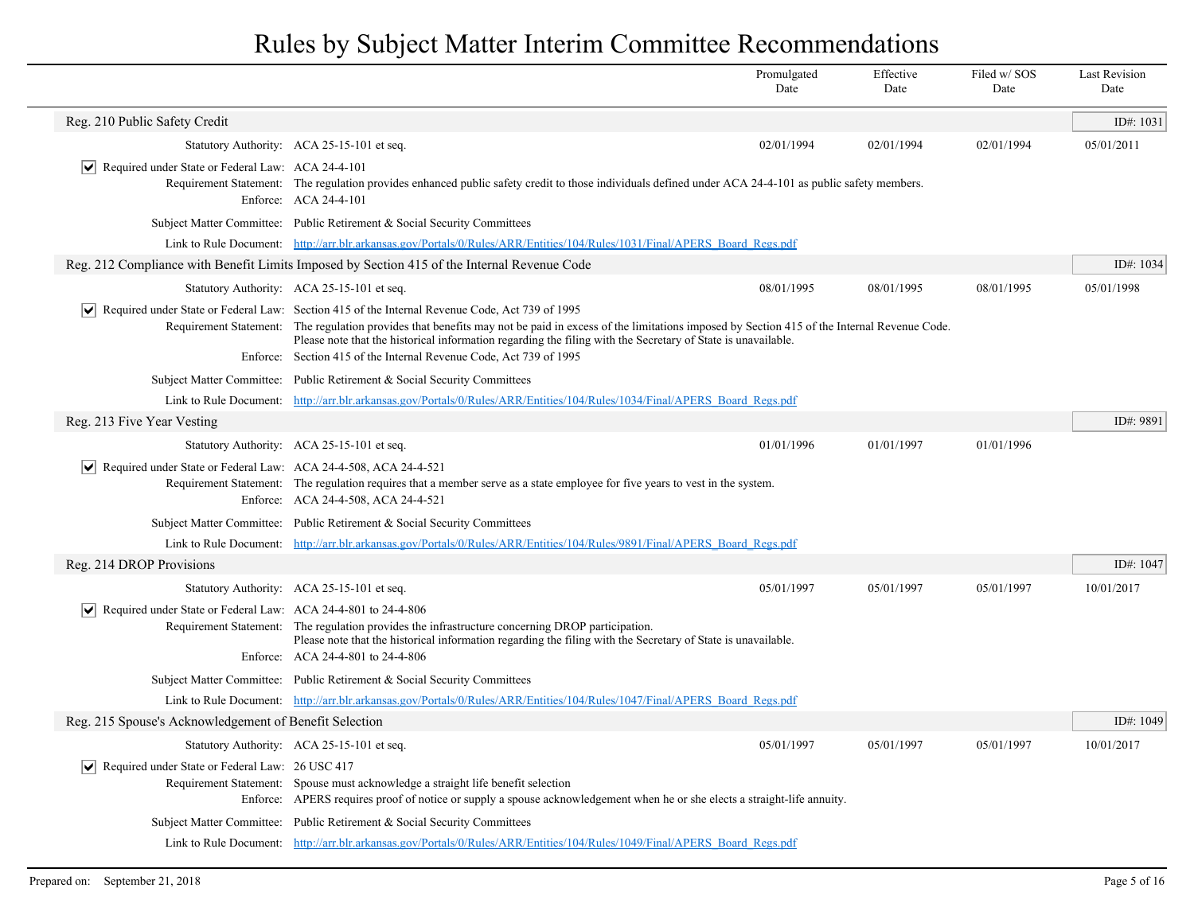|                                                                              |                                                                                                                                                                                                                                                                                                                                                                                                                                                        | Promulgated<br>Date | Effective<br>Date | Filed w/ SOS<br>Date | <b>Last Revision</b><br>Date |
|------------------------------------------------------------------------------|--------------------------------------------------------------------------------------------------------------------------------------------------------------------------------------------------------------------------------------------------------------------------------------------------------------------------------------------------------------------------------------------------------------------------------------------------------|---------------------|-------------------|----------------------|------------------------------|
| Reg. 210 Public Safety Credit                                                |                                                                                                                                                                                                                                                                                                                                                                                                                                                        |                     |                   |                      | ID#: 1031                    |
|                                                                              | Statutory Authority: ACA 25-15-101 et seq.                                                                                                                                                                                                                                                                                                                                                                                                             | 02/01/1994          | 02/01/1994        | 02/01/1994           | 05/01/2011                   |
| $ \mathbf{v} $ Required under State or Federal Law: ACA 24-4-101             | Requirement Statement: The regulation provides enhanced public safety credit to those individuals defined under ACA 24-4-101 as public safety members.<br>Enforce: ACA 24-4-101                                                                                                                                                                                                                                                                        |                     |                   |                      |                              |
|                                                                              | Subject Matter Committee: Public Retirement & Social Security Committees                                                                                                                                                                                                                                                                                                                                                                               |                     |                   |                      |                              |
|                                                                              | Link to Rule Document: http://arr.blr.arkansas.gov/Portals/0/Rules/ARR/Entities/104/Rules/1031/Final/APERS_Board_Regs.pdf                                                                                                                                                                                                                                                                                                                              |                     |                   |                      |                              |
|                                                                              | Reg. 212 Compliance with Benefit Limits Imposed by Section 415 of the Internal Revenue Code                                                                                                                                                                                                                                                                                                                                                            |                     |                   |                      | ID#: 1034                    |
|                                                                              | Statutory Authority: ACA 25-15-101 et seq.                                                                                                                                                                                                                                                                                                                                                                                                             | 08/01/1995          | 08/01/1995        | 08/01/1995           | 05/01/1998                   |
|                                                                              | Required under State or Federal Law: Section 415 of the Internal Revenue Code, Act 739 of 1995<br>Requirement Statement: The regulation provides that benefits may not be paid in excess of the limitations imposed by Section 415 of the Internal Revenue Code.<br>Please note that the historical information regarding the filing with the Secretary of State is unavailable.<br>Enforce: Section 415 of the Internal Revenue Code, Act 739 of 1995 |                     |                   |                      |                              |
|                                                                              | Subject Matter Committee: Public Retirement & Social Security Committees                                                                                                                                                                                                                                                                                                                                                                               |                     |                   |                      |                              |
|                                                                              | Link to Rule Document: http://arr.blr.arkansas.gov/Portals/0/Rules/ARR/Entities/104/Rules/1034/Final/APERS Board Regs.pdf                                                                                                                                                                                                                                                                                                                              |                     |                   |                      |                              |
| Reg. 213 Five Year Vesting                                                   |                                                                                                                                                                                                                                                                                                                                                                                                                                                        |                     |                   |                      | ID#: 9891                    |
|                                                                              | Statutory Authority: ACA 25-15-101 et seq.                                                                                                                                                                                                                                                                                                                                                                                                             | 01/01/1996          | 01/01/1997        | 01/01/1996           |                              |
| ∣V∥<br>Required under State or Federal Law: ACA 24-4-508, ACA 24-4-521       | Requirement Statement: The regulation requires that a member serve as a state employee for five years to vest in the system.<br>Enforce: ACA 24-4-508, ACA 24-4-521                                                                                                                                                                                                                                                                                    |                     |                   |                      |                              |
|                                                                              | Subject Matter Committee: Public Retirement & Social Security Committees                                                                                                                                                                                                                                                                                                                                                                               |                     |                   |                      |                              |
|                                                                              | Link to Rule Document: http://arr.blr.arkansas.gov/Portals/0/Rules/ARR/Entities/104/Rules/9891/Final/APERS Board Regs.pdf                                                                                                                                                                                                                                                                                                                              |                     |                   |                      |                              |
| Reg. 214 DROP Provisions                                                     |                                                                                                                                                                                                                                                                                                                                                                                                                                                        |                     |                   |                      | ID#: 1047                    |
|                                                                              | Statutory Authority: ACA 25-15-101 et seq.                                                                                                                                                                                                                                                                                                                                                                                                             | 05/01/1997          | 05/01/1997        | 05/01/1997           | 10/01/2017                   |
| $ \mathbf{v} $ Required under State or Federal Law: ACA 24-4-801 to 24-4-806 | Requirement Statement: The regulation provides the infrastructure concerning DROP participation.<br>Please note that the historical information regarding the filing with the Secretary of State is unavailable.<br>Enforce: ACA 24-4-801 to 24-4-806                                                                                                                                                                                                  |                     |                   |                      |                              |
|                                                                              | Subject Matter Committee: Public Retirement & Social Security Committees                                                                                                                                                                                                                                                                                                                                                                               |                     |                   |                      |                              |
|                                                                              | Link to Rule Document: http://arr.blr.arkansas.gov/Portals/0/Rules/ARR/Entities/104/Rules/1047/Final/APERS Board Regs.pdf                                                                                                                                                                                                                                                                                                                              |                     |                   |                      |                              |
| Reg. 215 Spouse's Acknowledgement of Benefit Selection                       |                                                                                                                                                                                                                                                                                                                                                                                                                                                        |                     |                   |                      | ID#: 1049                    |
|                                                                              | Statutory Authority: ACA 25-15-101 et seq.                                                                                                                                                                                                                                                                                                                                                                                                             | 05/01/1997          | 05/01/1997        | 05/01/1997           | 10/01/2017                   |
| $ \mathbf{v} $ Required under State or Federal Law: 26 USC 417               | Requirement Statement: Spouse must acknowledge a straight life benefit selection<br>Enforce: APERS requires proof of notice or supply a spouse acknowledgement when he or she elects a straight-life annuity.                                                                                                                                                                                                                                          |                     |                   |                      |                              |
|                                                                              | Subject Matter Committee: Public Retirement & Social Security Committees                                                                                                                                                                                                                                                                                                                                                                               |                     |                   |                      |                              |
|                                                                              | Link to Rule Document: http://arr.blr.arkansas.gov/Portals/0/Rules/ARR/Entities/104/Rules/1049/Final/APERS Board Regs.pdf                                                                                                                                                                                                                                                                                                                              |                     |                   |                      |                              |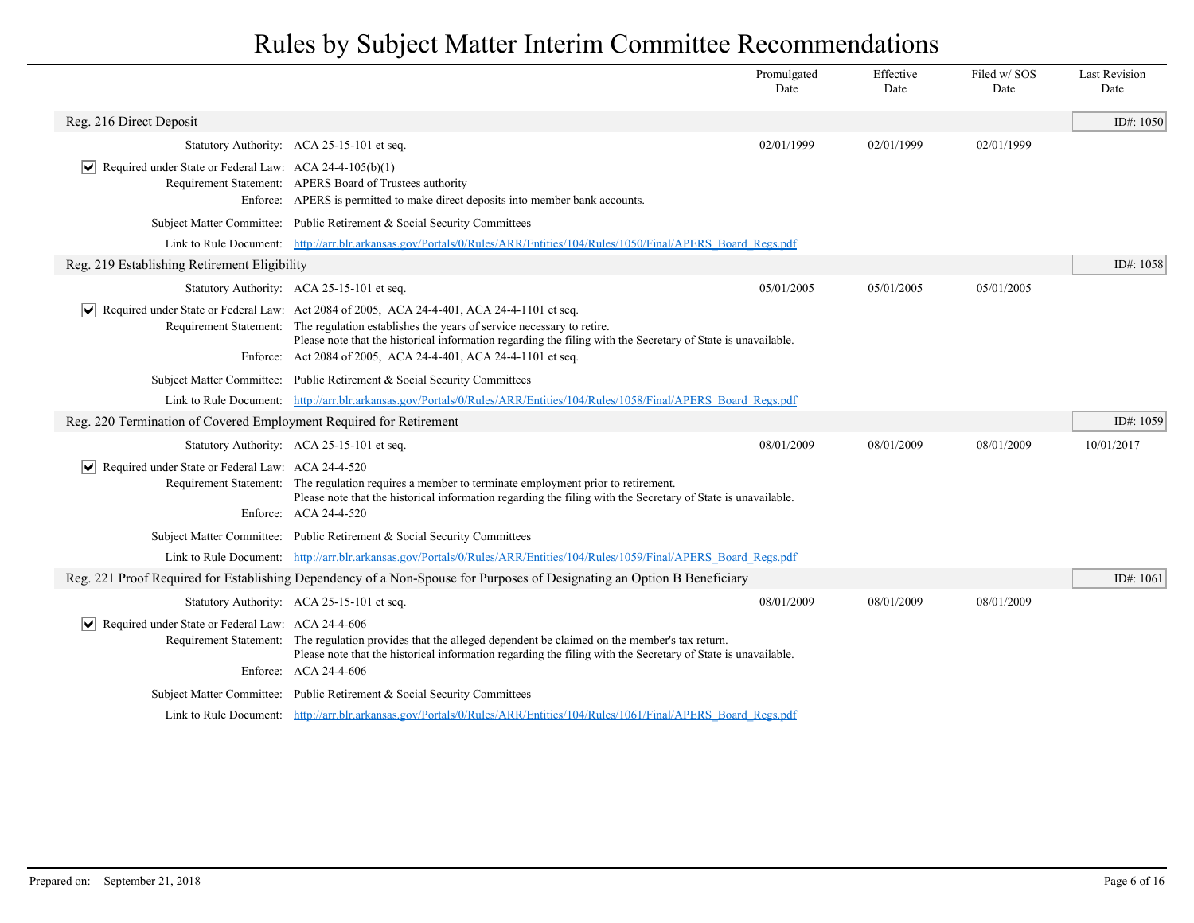|                                                                    |                                                                                                                                                                                                                                                                                                                                                                             | Promulgated<br>Date | Effective<br>Date | Filed w/SOS<br>Date | <b>Last Revision</b><br>Date |
|--------------------------------------------------------------------|-----------------------------------------------------------------------------------------------------------------------------------------------------------------------------------------------------------------------------------------------------------------------------------------------------------------------------------------------------------------------------|---------------------|-------------------|---------------------|------------------------------|
| Reg. 216 Direct Deposit                                            |                                                                                                                                                                                                                                                                                                                                                                             |                     |                   |                     | ID#: 1050                    |
|                                                                    | Statutory Authority: ACA 25-15-101 et seq.                                                                                                                                                                                                                                                                                                                                  | 02/01/1999          | 02/01/1999        | 02/01/1999          |                              |
| Required under State or Federal Law: ACA 24-4-105(b)(1)            | Requirement Statement: APERS Board of Trustees authority<br>Enforce: APERS is permitted to make direct deposits into member bank accounts.                                                                                                                                                                                                                                  |                     |                   |                     |                              |
|                                                                    | Subject Matter Committee: Public Retirement & Social Security Committees                                                                                                                                                                                                                                                                                                    |                     |                   |                     |                              |
|                                                                    | Link to Rule Document: http://arr.blr.arkansas.gov/Portals/0/Rules/ARR/Entities/104/Rules/1050/Final/APERS Board Regs.pdf                                                                                                                                                                                                                                                   |                     |                   |                     |                              |
| Reg. 219 Establishing Retirement Eligibility                       |                                                                                                                                                                                                                                                                                                                                                                             |                     |                   |                     | ID#: 1058                    |
|                                                                    | Statutory Authority: ACA 25-15-101 et seq.                                                                                                                                                                                                                                                                                                                                  | 05/01/2005          | 05/01/2005        | 05/01/2005          |                              |
| M                                                                  | Required under State or Federal Law: Act 2084 of 2005, ACA 24-4-401, ACA 24-4-1101 et seq.<br>Requirement Statement: The regulation establishes the years of service necessary to retire.<br>Please note that the historical information regarding the filing with the Secretary of State is unavailable.<br>Enforce: Act 2084 of 2005, ACA 24-4-401, ACA 24-4-1101 et seq. |                     |                   |                     |                              |
|                                                                    | Subject Matter Committee: Public Retirement & Social Security Committees                                                                                                                                                                                                                                                                                                    |                     |                   |                     |                              |
|                                                                    | Link to Rule Document: http://arr.blr.arkansas.gov/Portals/0/Rules/ARR/Entities/104/Rules/1058/Final/APERS Board Regs.pdf                                                                                                                                                                                                                                                   |                     |                   |                     |                              |
| Reg. 220 Termination of Covered Employment Required for Retirement |                                                                                                                                                                                                                                                                                                                                                                             |                     |                   |                     | ID#: $1059$                  |
|                                                                    | Statutory Authority: ACA 25-15-101 et seq.                                                                                                                                                                                                                                                                                                                                  | 08/01/2009          | 08/01/2009        | 08/01/2009          | 10/01/2017                   |
| Required under State or Federal Law: ACA 24-4-520<br>M             | Requirement Statement: The regulation requires a member to terminate employment prior to retirement.<br>Please note that the historical information regarding the filing with the Secretary of State is unavailable.<br>Enforce: ACA 24-4-520                                                                                                                               |                     |                   |                     |                              |
|                                                                    | Subject Matter Committee: Public Retirement & Social Security Committees                                                                                                                                                                                                                                                                                                    |                     |                   |                     |                              |
|                                                                    | Link to Rule Document: http://arr.blr.arkansas.gov/Portals/0/Rules/ARR/Entities/104/Rules/1059/Final/APERS Board Regs.pdf                                                                                                                                                                                                                                                   |                     |                   |                     |                              |
|                                                                    | Reg. 221 Proof Required for Establishing Dependency of a Non-Spouse for Purposes of Designating an Option B Beneficiary                                                                                                                                                                                                                                                     |                     |                   |                     | ID#: 1061                    |
|                                                                    | Statutory Authority: ACA 25-15-101 et seq.                                                                                                                                                                                                                                                                                                                                  | 08/01/2009          | 08/01/2009        | 08/01/2009          |                              |
| Required under State or Federal Law: ACA 24-4-606<br>∣V∣           | Requirement Statement: The regulation provides that the alleged dependent be claimed on the member's tax return.<br>Please note that the historical information regarding the filing with the Secretary of State is unavailable.<br>Enforce: ACA 24-4-606                                                                                                                   |                     |                   |                     |                              |
|                                                                    | Subject Matter Committee: Public Retirement & Social Security Committees                                                                                                                                                                                                                                                                                                    |                     |                   |                     |                              |
|                                                                    | Link to Rule Document: http://arr.blr.arkansas.gov/Portals/0/Rules/ARR/Entities/104/Rules/1061/Final/APERS Board Regs.pdf                                                                                                                                                                                                                                                   |                     |                   |                     |                              |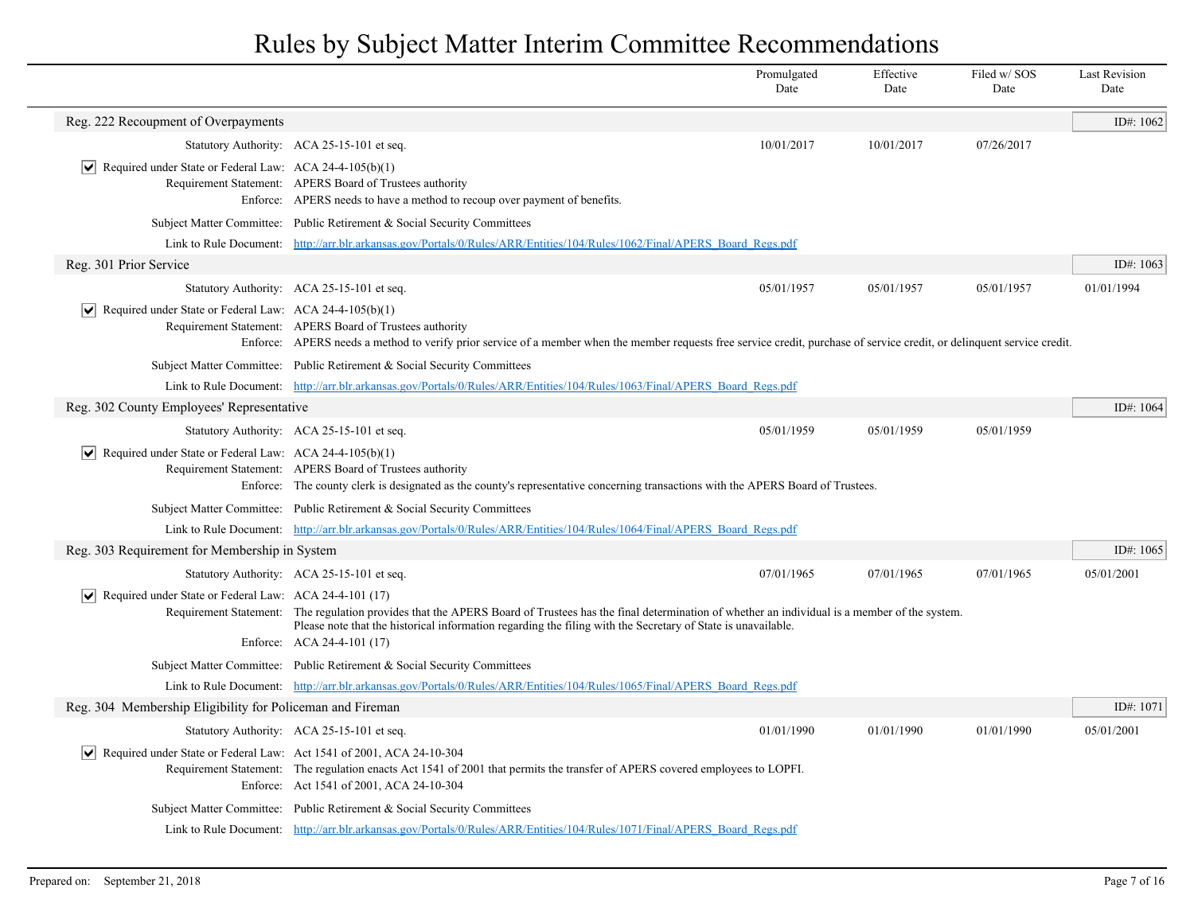|                                                                                     |                                                                                                                                                                                                                                                                                                               | Promulgated<br>Date | Effective<br>Date | Filed w/SOS<br>Date | <b>Last Revision</b><br>Date |
|-------------------------------------------------------------------------------------|---------------------------------------------------------------------------------------------------------------------------------------------------------------------------------------------------------------------------------------------------------------------------------------------------------------|---------------------|-------------------|---------------------|------------------------------|
| Reg. 222 Recoupment of Overpayments                                                 |                                                                                                                                                                                                                                                                                                               |                     |                   |                     | ID#: 1062                    |
|                                                                                     | Statutory Authority: ACA 25-15-101 et seq.                                                                                                                                                                                                                                                                    | 10/01/2017          | 10/01/2017        | 07/26/2017          |                              |
| Required under State or Federal Law: ACA 24-4-105(b)(1)<br>$ \bm{\mathsf{v}} $      | Requirement Statement: APERS Board of Trustees authority<br>Enforce: APERS needs to have a method to recoup over payment of benefits.                                                                                                                                                                         |                     |                   |                     |                              |
|                                                                                     | Subject Matter Committee: Public Retirement & Social Security Committees                                                                                                                                                                                                                                      |                     |                   |                     |                              |
|                                                                                     | Link to Rule Document: http://arr.blr.arkansas.gov/Portals/0/Rules/ARR/Entities/104/Rules/1062/Final/APERS Board Regs.pdf                                                                                                                                                                                     |                     |                   |                     |                              |
| Reg. 301 Prior Service                                                              |                                                                                                                                                                                                                                                                                                               |                     |                   |                     | ID#: 1063                    |
|                                                                                     | Statutory Authority: ACA 25-15-101 et seq.                                                                                                                                                                                                                                                                    | 05/01/1957          | 05/01/1957        | 05/01/1957          | 01/01/1994                   |
| $ \mathbf{v} $ Required under State or Federal Law: ACA 24-4-105(b)(1)              | Requirement Statement: APERS Board of Trustees authority<br>Enforce: APERS needs a method to verify prior service of a member when the member requests free service credit, purchase of service credit, or delinquent service credit.                                                                         |                     |                   |                     |                              |
|                                                                                     | Subject Matter Committee: Public Retirement & Social Security Committees                                                                                                                                                                                                                                      |                     |                   |                     |                              |
|                                                                                     | Link to Rule Document: http://arr.blr.arkansas.gov/Portals/0/Rules/ARR/Entities/104/Rules/1063/Final/APERS Board Regs.pdf                                                                                                                                                                                     |                     |                   |                     |                              |
| Reg. 302 County Employees' Representative                                           |                                                                                                                                                                                                                                                                                                               |                     |                   |                     | ID#: 1064                    |
|                                                                                     | Statutory Authority: ACA 25-15-101 et seq.                                                                                                                                                                                                                                                                    | 05/01/1959          | 05/01/1959        | 05/01/1959          |                              |
| $ \mathbf{v} $ Required under State or Federal Law: ACA 24-4-105(b)(1)              | Requirement Statement: APERS Board of Trustees authority<br>Enforce: The county clerk is designated as the county's representative concerning transactions with the APERS Board of Trustees.                                                                                                                  |                     |                   |                     |                              |
|                                                                                     | Subject Matter Committee: Public Retirement & Social Security Committees                                                                                                                                                                                                                                      |                     |                   |                     |                              |
|                                                                                     | Link to Rule Document: http://arr.blr.arkansas.gov/Portals/0/Rules/ARR/Entities/104/Rules/1064/Final/APERS Board Regs.pdf                                                                                                                                                                                     |                     |                   |                     |                              |
| Reg. 303 Requirement for Membership in System                                       |                                                                                                                                                                                                                                                                                                               |                     |                   |                     | ID#: 1065                    |
|                                                                                     | Statutory Authority: ACA 25-15-101 et seq.                                                                                                                                                                                                                                                                    | 07/01/1965          | 07/01/1965        | 07/01/1965          | 05/01/2001                   |
| $ \mathbf{v} $ Required under State or Federal Law: ACA 24-4-101 (17)               | Requirement Statement: The regulation provides that the APERS Board of Trustees has the final determination of whether an individual is a member of the system.<br>Please note that the historical information regarding the filing with the Secretary of State is unavailable.<br>Enforce: ACA 24-4-101 (17) |                     |                   |                     |                              |
|                                                                                     | Subject Matter Committee: Public Retirement & Social Security Committees                                                                                                                                                                                                                                      |                     |                   |                     |                              |
|                                                                                     | Link to Rule Document: http://arr.blr.arkansas.gov/Portals/0/Rules/ARR/Entities/104/Rules/1065/Final/APERS Board Regs.pdf                                                                                                                                                                                     |                     |                   |                     |                              |
| Reg. 304 Membership Eligibility for Policeman and Fireman                           |                                                                                                                                                                                                                                                                                                               |                     |                   |                     | ID#: $1071$                  |
|                                                                                     | Statutory Authority: ACA 25-15-101 et seq.                                                                                                                                                                                                                                                                    | 01/01/1990          | 01/01/1990        | 01/01/1990          | 05/01/2001                   |
| $ \mathbf{v} $ Required under State or Federal Law: Act 1541 of 2001, ACA 24-10-304 | Requirement Statement: The regulation enacts Act 1541 of 2001 that permits the transfer of APERS covered employees to LOPFI.<br>Enforce: Act 1541 of 2001, ACA 24-10-304                                                                                                                                      |                     |                   |                     |                              |
|                                                                                     | Subject Matter Committee: Public Retirement & Social Security Committees                                                                                                                                                                                                                                      |                     |                   |                     |                              |
|                                                                                     | Link to Rule Document: http://arr.blr.arkansas.gov/Portals/0/Rules/ARR/Entities/104/Rules/1071/Final/APERS Board Regs.pdf                                                                                                                                                                                     |                     |                   |                     |                              |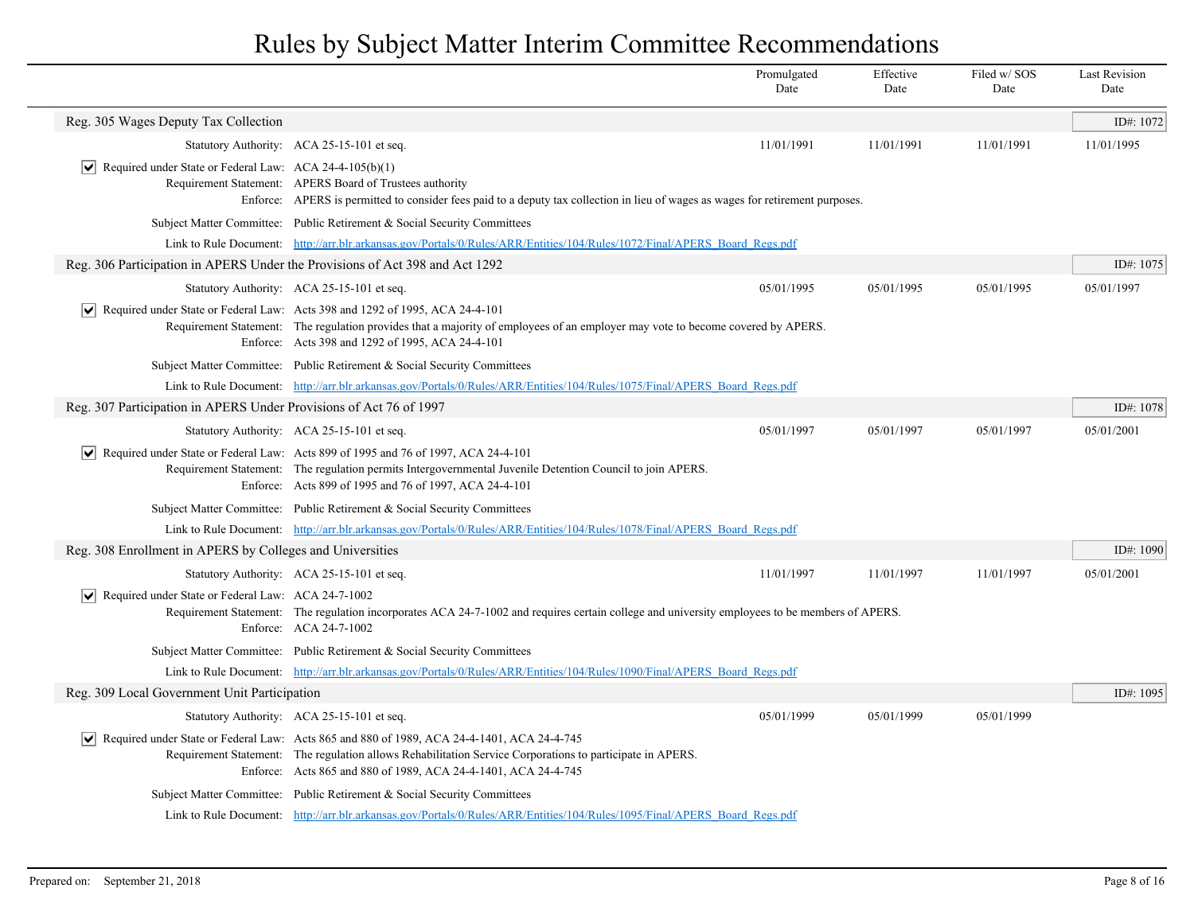|                                                                              |                                                                                                                                                                                                                                                                                    | Promulgated<br>Date | Effective<br>Date | Filed w/SOS<br>Date | <b>Last Revision</b><br>Date |
|------------------------------------------------------------------------------|------------------------------------------------------------------------------------------------------------------------------------------------------------------------------------------------------------------------------------------------------------------------------------|---------------------|-------------------|---------------------|------------------------------|
| Reg. 305 Wages Deputy Tax Collection                                         |                                                                                                                                                                                                                                                                                    |                     |                   |                     | ID#: 1072                    |
|                                                                              | Statutory Authority: ACA 25-15-101 et seq.                                                                                                                                                                                                                                         | 11/01/1991          | 11/01/1991        | 11/01/1991          | 11/01/1995                   |
| $ \mathbf{v} $ Required under State or Federal Law: ACA 24-4-105(b)(1)       | Requirement Statement: APERS Board of Trustees authority<br>Enforce: APERS is permitted to consider fees paid to a deputy tax collection in lieu of wages as wages for retirement purposes.                                                                                        |                     |                   |                     |                              |
|                                                                              | Subject Matter Committee: Public Retirement & Social Security Committees                                                                                                                                                                                                           |                     |                   |                     |                              |
|                                                                              | Link to Rule Document: http://arr.blr.arkansas.gov/Portals/0/Rules/ARR/Entities/104/Rules/1072/Final/APERS Board Regs.pdf                                                                                                                                                          |                     |                   |                     |                              |
| Reg. 306 Participation in APERS Under the Provisions of Act 398 and Act 1292 |                                                                                                                                                                                                                                                                                    |                     |                   |                     | ID#: 1075                    |
|                                                                              | Statutory Authority: ACA 25-15-101 et seq.                                                                                                                                                                                                                                         | 05/01/1995          | 05/01/1995        | 05/01/1995          | 05/01/1997                   |
|                                                                              | $ \mathbf{v} $ Required under State or Federal Law: Acts 398 and 1292 of 1995, ACA 24-4-101<br>Requirement Statement: The regulation provides that a majority of employees of an employer may vote to become covered by APERS.<br>Enforce: Acts 398 and 1292 of 1995, ACA 24-4-101 |                     |                   |                     |                              |
|                                                                              | Subject Matter Committee: Public Retirement & Social Security Committees                                                                                                                                                                                                           |                     |                   |                     |                              |
|                                                                              | Link to Rule Document: http://arr.blr.arkansas.gov/Portals/0/Rules/ARR/Entities/104/Rules/1075/Final/APERS Board Regs.pdf                                                                                                                                                          |                     |                   |                     |                              |
| Reg. 307 Participation in APERS Under Provisions of Act 76 of 1997           |                                                                                                                                                                                                                                                                                    |                     |                   |                     | ID#: 1078                    |
|                                                                              | Statutory Authority: ACA 25-15-101 et seq.                                                                                                                                                                                                                                         | 05/01/1997          | 05/01/1997        | 05/01/1997          | 05/01/2001                   |
|                                                                              | Required under State or Federal Law: Acts 899 of 1995 and 76 of 1997, ACA 24-4-101<br>Requirement Statement: The regulation permits Intergovernmental Juvenile Detention Council to join APERS.<br>Enforce: Acts 899 of 1995 and 76 of 1997, ACA 24-4-101                          |                     |                   |                     |                              |
|                                                                              | Subject Matter Committee: Public Retirement & Social Security Committees                                                                                                                                                                                                           |                     |                   |                     |                              |
|                                                                              | Link to Rule Document: http://arr.blr.arkansas.gov/Portals/0/Rules/ARR/Entities/104/Rules/1078/Final/APERS Board Regs.pdf                                                                                                                                                          |                     |                   |                     |                              |
| Reg. 308 Enrollment in APERS by Colleges and Universities                    |                                                                                                                                                                                                                                                                                    |                     |                   |                     | ID#: 1090                    |
|                                                                              | Statutory Authority: ACA 25-15-101 et seq.                                                                                                                                                                                                                                         | 11/01/1997          | 11/01/1997        | 11/01/1997          | 05/01/2001                   |
| $\triangledown$ Required under State or Federal Law: ACA 24-7-1002           | Requirement Statement: The regulation incorporates ACA 24-7-1002 and requires certain college and university employees to be members of APERS.<br>Enforce: ACA 24-7-1002                                                                                                           |                     |                   |                     |                              |
|                                                                              | Subject Matter Committee: Public Retirement & Social Security Committees                                                                                                                                                                                                           |                     |                   |                     |                              |
|                                                                              | Link to Rule Document: http://arr.blr.arkansas.gov/Portals/0/Rules/ARR/Entities/104/Rules/1090/Final/APERS Board Regs.pdf                                                                                                                                                          |                     |                   |                     |                              |
| Reg. 309 Local Government Unit Participation                                 |                                                                                                                                                                                                                                                                                    |                     |                   |                     | ID#: 1095                    |
|                                                                              | Statutory Authority: ACA 25-15-101 et seq.                                                                                                                                                                                                                                         | 05/01/1999          | 05/01/1999        | 05/01/1999          |                              |
|                                                                              | Required under State or Federal Law: Acts 865 and 880 of 1989, ACA 24-4-1401, ACA 24-4-745<br>Requirement Statement: The regulation allows Rehabilitation Service Corporations to participate in APERS.<br>Enforce: Acts 865 and 880 of 1989, ACA 24-4-1401, ACA 24-4-745          |                     |                   |                     |                              |
|                                                                              | Subject Matter Committee: Public Retirement & Social Security Committees                                                                                                                                                                                                           |                     |                   |                     |                              |
|                                                                              | Link to Rule Document: http://arr.blr.arkansas.gov/Portals/0/Rules/ARR/Entities/104/Rules/1095/Final/APERS Board Regs.pdf                                                                                                                                                          |                     |                   |                     |                              |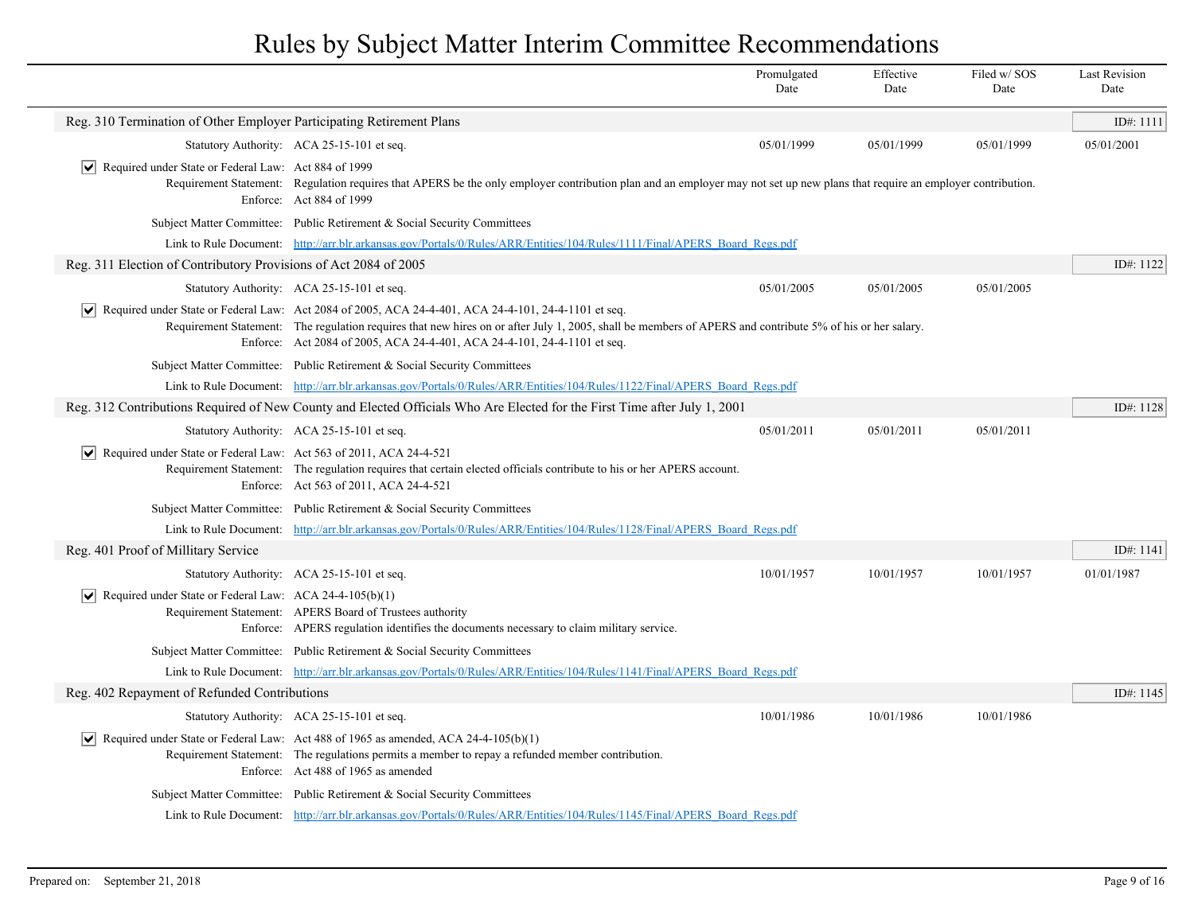|                                                                                   |                                                                                                                                                                                                                                                                                                                                                                     | Promulgated<br>Date | Effective<br>Date | Filed w/SOS<br>Date | <b>Last Revision</b><br>Date |
|-----------------------------------------------------------------------------------|---------------------------------------------------------------------------------------------------------------------------------------------------------------------------------------------------------------------------------------------------------------------------------------------------------------------------------------------------------------------|---------------------|-------------------|---------------------|------------------------------|
| Reg. 310 Termination of Other Employer Participating Retirement Plans             |                                                                                                                                                                                                                                                                                                                                                                     |                     |                   |                     | ID#: 1111                    |
|                                                                                   | Statutory Authority: ACA 25-15-101 et seq.                                                                                                                                                                                                                                                                                                                          | 05/01/1999          | 05/01/1999        | 05/01/1999          | 05/01/2001                   |
| $ \mathbf{v} $ Required under State or Federal Law: Act 884 of 1999               | Requirement Statement: Regulation requires that APERS be the only employer contribution plan and an employer may not set up new plans that require an employer contribution.<br>Enforce: Act 884 of 1999                                                                                                                                                            |                     |                   |                     |                              |
|                                                                                   | Subject Matter Committee: Public Retirement & Social Security Committees                                                                                                                                                                                                                                                                                            |                     |                   |                     |                              |
|                                                                                   | Link to Rule Document: http://arr.blr.arkansas.gov/Portals/0/Rules/ARR/Entities/104/Rules/1111/Final/APERS Board Regs.pdf                                                                                                                                                                                                                                           |                     |                   |                     |                              |
| Reg. 311 Election of Contributory Provisions of Act 2084 of 2005                  |                                                                                                                                                                                                                                                                                                                                                                     |                     |                   |                     | ID#: 1122                    |
|                                                                                   | Statutory Authority: ACA 25-15-101 et seq.                                                                                                                                                                                                                                                                                                                          | 05/01/2005          | 05/01/2005        | 05/01/2005          |                              |
|                                                                                   | $\blacktriangleright$ Required under State or Federal Law: Act 2084 of 2005, ACA 24-4-401, ACA 24-4-101, 24-4-1101 et seq.<br>Requirement Statement: The regulation requires that new hires on or after July 1, 2005, shall be members of APERS and contribute 5% of his or her salary.<br>Enforce: Act 2084 of 2005, ACA 24-4-401, ACA 24-4-101, 24-4-1101 et seq. |                     |                   |                     |                              |
|                                                                                   | Subject Matter Committee: Public Retirement & Social Security Committees                                                                                                                                                                                                                                                                                            |                     |                   |                     |                              |
|                                                                                   | Link to Rule Document: http://arr.blr.arkansas.gov/Portals/0/Rules/ARR/Entities/104/Rules/1122/Final/APERS Board Regs.pdf                                                                                                                                                                                                                                           |                     |                   |                     |                              |
|                                                                                   | Reg. 312 Contributions Required of New County and Elected Officials Who Are Elected for the First Time after July 1, 2001                                                                                                                                                                                                                                           |                     |                   |                     | ID#: 1128                    |
|                                                                                   | Statutory Authority: ACA 25-15-101 et seq.                                                                                                                                                                                                                                                                                                                          | 05/01/2011          | 05/01/2011        | 05/01/2011          |                              |
| $ \mathbf{v} $ Required under State or Federal Law: Act 563 of 2011, ACA 24-4-521 | Requirement Statement: The regulation requires that certain elected officials contribute to his or her APERS account.<br>Enforce: Act 563 of 2011, ACA 24-4-521                                                                                                                                                                                                     |                     |                   |                     |                              |
|                                                                                   | Subject Matter Committee: Public Retirement & Social Security Committees                                                                                                                                                                                                                                                                                            |                     |                   |                     |                              |
|                                                                                   | Link to Rule Document: http://arr.blr.arkansas.gov/Portals/0/Rules/ARR/Entities/104/Rules/1128/Final/APERS Board Regs.pdf                                                                                                                                                                                                                                           |                     |                   |                     |                              |
| Reg. 401 Proof of Millitary Service                                               |                                                                                                                                                                                                                                                                                                                                                                     |                     |                   |                     | ID#: 1141                    |
|                                                                                   | Statutory Authority: ACA 25-15-101 et seq.                                                                                                                                                                                                                                                                                                                          | 10/01/1957          | 10/01/1957        | 10/01/1957          | 01/01/1987                   |
| $ \mathbf{v} $ Required under State or Federal Law: ACA 24-4-105(b)(1)            | Requirement Statement: APERS Board of Trustees authority<br>Enforce: APERS regulation identifies the documents necessary to claim military service.                                                                                                                                                                                                                 |                     |                   |                     |                              |
|                                                                                   | Subject Matter Committee: Public Retirement & Social Security Committees                                                                                                                                                                                                                                                                                            |                     |                   |                     |                              |
|                                                                                   | Link to Rule Document: http://arr.blr.arkansas.gov/Portals/0/Rules/ARR/Entities/104/Rules/1141/Final/APERS Board Regs.pdf                                                                                                                                                                                                                                           |                     |                   |                     |                              |
| Reg. 402 Repayment of Refunded Contributions                                      |                                                                                                                                                                                                                                                                                                                                                                     |                     |                   |                     | ID#: 1145                    |
|                                                                                   | Statutory Authority: ACA 25-15-101 et seq.                                                                                                                                                                                                                                                                                                                          | 10/01/1986          | 10/01/1986        | 10/01/1986          |                              |
|                                                                                   | $\vert \bullet \vert$ Required under State or Federal Law: Act 488 of 1965 as amended, ACA 24-4-105(b)(1)<br>Requirement Statement: The regulations permits a member to repay a refunded member contribution.<br>Enforce: Act 488 of 1965 as amended                                                                                                                |                     |                   |                     |                              |
|                                                                                   | Subject Matter Committee: Public Retirement & Social Security Committees                                                                                                                                                                                                                                                                                            |                     |                   |                     |                              |
|                                                                                   | Link to Rule Document: http://arr.blr.arkansas.gov/Portals/0/Rules/ARR/Entities/104/Rules/1145/Final/APERS Board Regs.pdf                                                                                                                                                                                                                                           |                     |                   |                     |                              |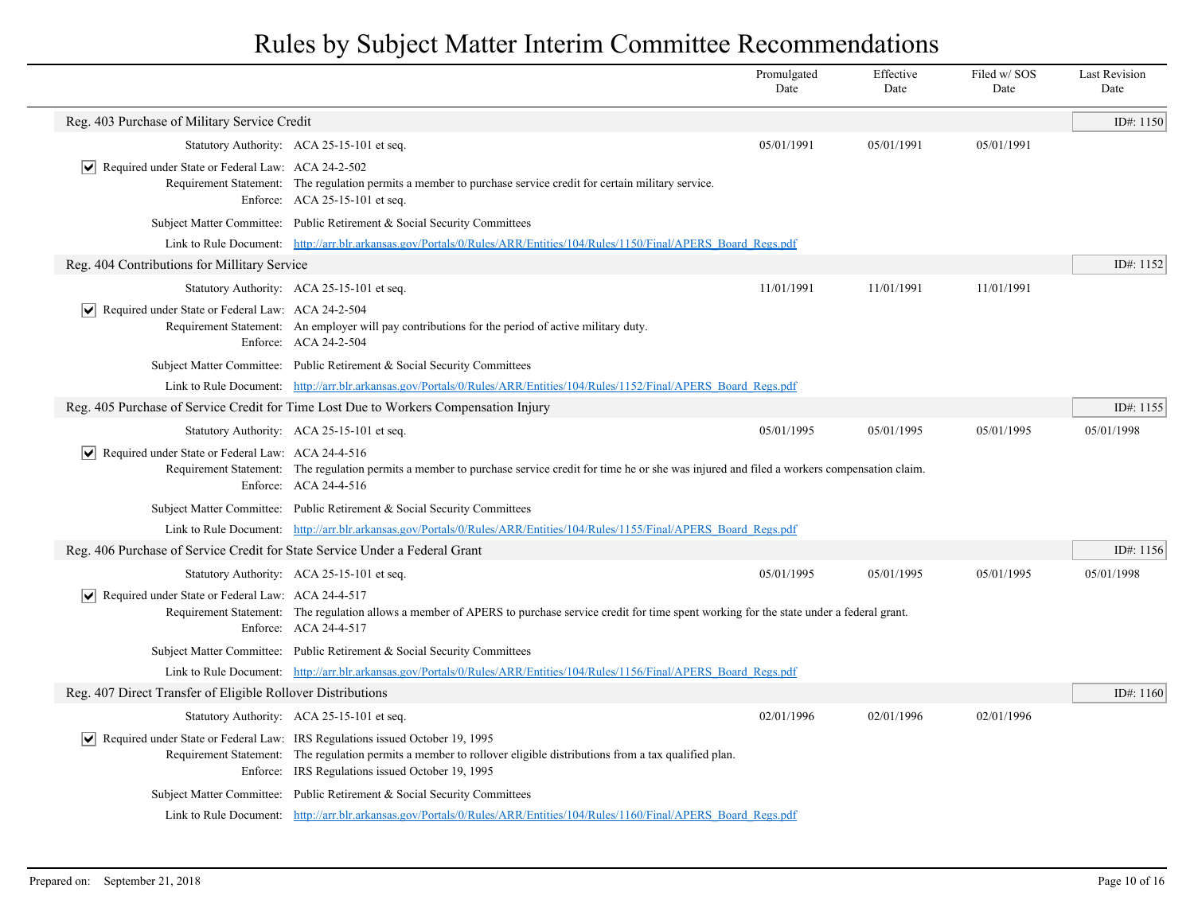|                                                                             |                                                                                                                                                                                                                                                                               | Promulgated<br>Date | Effective<br>Date | Filed w/SOS<br>Date | <b>Last Revision</b><br>Date |
|-----------------------------------------------------------------------------|-------------------------------------------------------------------------------------------------------------------------------------------------------------------------------------------------------------------------------------------------------------------------------|---------------------|-------------------|---------------------|------------------------------|
| Reg. 403 Purchase of Military Service Credit                                |                                                                                                                                                                                                                                                                               |                     |                   |                     | ID#: 1150                    |
|                                                                             | Statutory Authority: ACA 25-15-101 et seq.                                                                                                                                                                                                                                    | 05/01/1991          | 05/01/1991        | 05/01/1991          |                              |
| $ \mathbf{v} $ Required under State or Federal Law: ACA 24-2-502            | Requirement Statement: The regulation permits a member to purchase service credit for certain military service.<br>Enforce: ACA 25-15-101 et seq.                                                                                                                             |                     |                   |                     |                              |
|                                                                             | Subject Matter Committee: Public Retirement & Social Security Committees                                                                                                                                                                                                      |                     |                   |                     |                              |
|                                                                             | Link to Rule Document: http://arr.blr.arkansas.gov/Portals/0/Rules/ARR/Entities/104/Rules/1150/Final/APERS Board Regs.pdf                                                                                                                                                     |                     |                   |                     |                              |
| Reg. 404 Contributions for Millitary Service                                |                                                                                                                                                                                                                                                                               |                     |                   |                     | ID#: 1152                    |
|                                                                             | Statutory Authority: ACA 25-15-101 et seq.                                                                                                                                                                                                                                    | 11/01/1991          | 11/01/1991        | 11/01/1991          |                              |
| $ \vee $ Required under State or Federal Law: ACA 24-2-504                  | Requirement Statement: An employer will pay contributions for the period of active military duty.<br>Enforce: ACA 24-2-504                                                                                                                                                    |                     |                   |                     |                              |
|                                                                             | Subject Matter Committee: Public Retirement & Social Security Committees                                                                                                                                                                                                      |                     |                   |                     |                              |
|                                                                             | Link to Rule Document: http://arr.blr.arkansas.gov/Portals/0/Rules/ARR/Entities/104/Rules/1152/Final/APERS Board Regs.pdf                                                                                                                                                     |                     |                   |                     |                              |
|                                                                             | Reg. 405 Purchase of Service Credit for Time Lost Due to Workers Compensation Injury                                                                                                                                                                                          |                     |                   |                     | ID#: 1155                    |
|                                                                             | Statutory Authority: ACA 25-15-101 et seq.                                                                                                                                                                                                                                    | 05/01/1995          | 05/01/1995        | 05/01/1995          | 05/01/1998                   |
| $ \mathbf{v} $ Required under State or Federal Law: ACA 24-4-516            | Requirement Statement: The regulation permits a member to purchase service credit for time he or she was injured and filed a workers compensation claim.<br>Enforce: ACA 24-4-516                                                                                             |                     |                   |                     |                              |
|                                                                             | Subject Matter Committee: Public Retirement & Social Security Committees                                                                                                                                                                                                      |                     |                   |                     |                              |
|                                                                             | Link to Rule Document: http://arr.blr.arkansas.gov/Portals/0/Rules/ARR/Entities/104/Rules/1155/Final/APERS Board Regs.pdf                                                                                                                                                     |                     |                   |                     |                              |
| Reg. 406 Purchase of Service Credit for State Service Under a Federal Grant |                                                                                                                                                                                                                                                                               |                     |                   |                     | ID#: 1156                    |
|                                                                             | Statutory Authority: ACA 25-15-101 et seq.                                                                                                                                                                                                                                    | 05/01/1995          | 05/01/1995        | 05/01/1995          | 05/01/1998                   |
| $\triangleright$ Required under State or Federal Law: ACA 24-4-517          | Requirement Statement: The regulation allows a member of APERS to purchase service credit for time spent working for the state under a federal grant.<br>Enforce: ACA 24-4-517                                                                                                |                     |                   |                     |                              |
|                                                                             | Subject Matter Committee: Public Retirement & Social Security Committees                                                                                                                                                                                                      |                     |                   |                     |                              |
|                                                                             | Link to Rule Document: http://arr.blr.arkansas.gov/Portals/0/Rules/ARR/Entities/104/Rules/1156/Final/APERS Board Regs.pdf                                                                                                                                                     |                     |                   |                     |                              |
| Reg. 407 Direct Transfer of Eligible Rollover Distributions                 |                                                                                                                                                                                                                                                                               |                     |                   |                     | ID#: 1160                    |
|                                                                             | Statutory Authority: ACA 25-15-101 et seq.                                                                                                                                                                                                                                    | 02/01/1996          | 02/01/1996        | 02/01/1996          |                              |
|                                                                             | $\sqrt{\phantom{a}}$ Required under State or Federal Law: IRS Regulations issued October 19, 1995<br>Requirement Statement: The regulation permits a member to rollover eligible distributions from a tax qualified plan.<br>Enforce: IRS Regulations issued October 19, 1995 |                     |                   |                     |                              |
|                                                                             | Subject Matter Committee: Public Retirement & Social Security Committees                                                                                                                                                                                                      |                     |                   |                     |                              |
|                                                                             | Link to Rule Document: http://arr.blr.arkansas.gov/Portals/0/Rules/ARR/Entities/104/Rules/1160/Final/APERS Board Regs.pdf                                                                                                                                                     |                     |                   |                     |                              |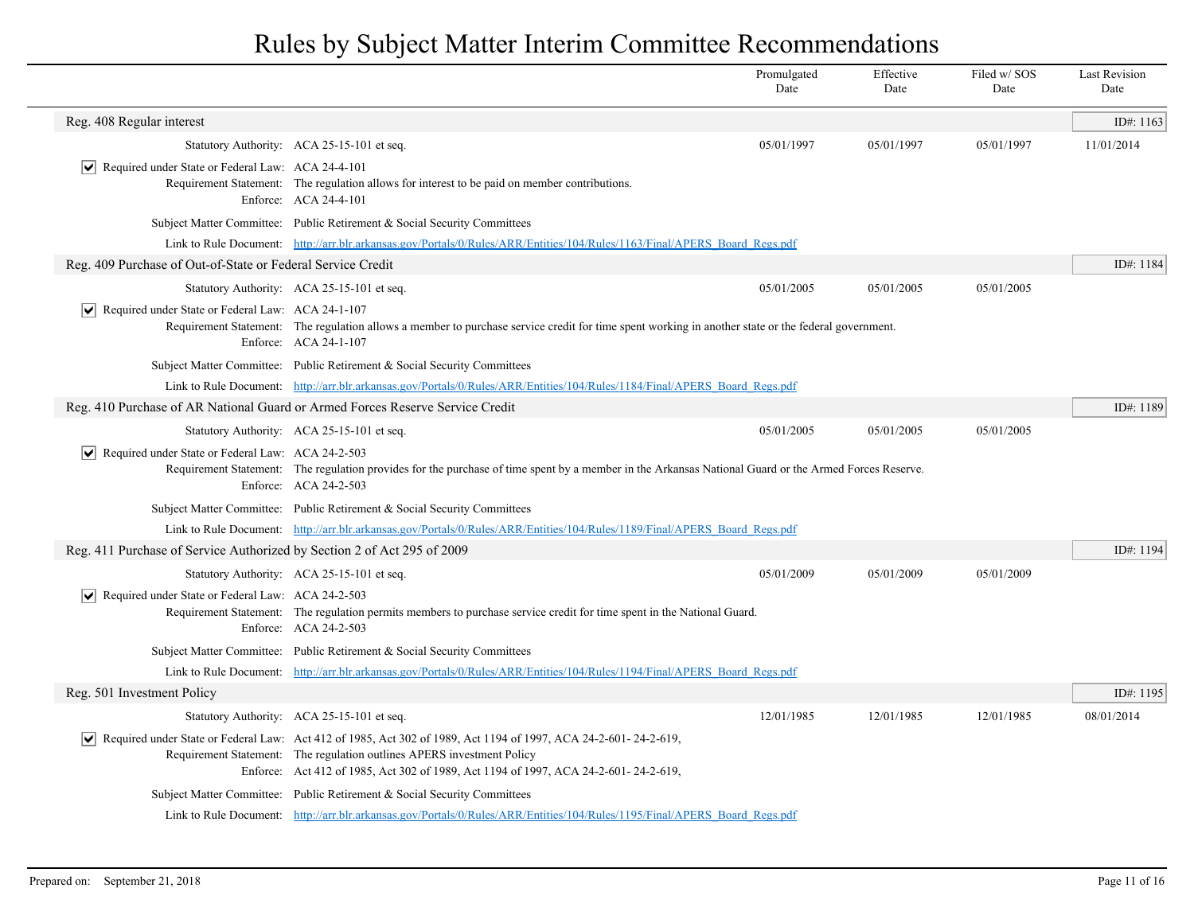|                                                                         |                                                                                                                                                                                                                                                                                  | Promulgated<br>Date | Effective<br>Date | Filed w/SOS<br>Date | <b>Last Revision</b><br>Date |
|-------------------------------------------------------------------------|----------------------------------------------------------------------------------------------------------------------------------------------------------------------------------------------------------------------------------------------------------------------------------|---------------------|-------------------|---------------------|------------------------------|
| Reg. 408 Regular interest                                               |                                                                                                                                                                                                                                                                                  |                     |                   |                     | ID#: 1163                    |
|                                                                         | Statutory Authority: ACA 25-15-101 et seq.                                                                                                                                                                                                                                       | 05/01/1997          | 05/01/1997        | 05/01/1997          | 11/01/2014                   |
| $ \mathbf{v} $ Required under State or Federal Law: ACA 24-4-101        | Requirement Statement: The regulation allows for interest to be paid on member contributions.<br>Enforce: ACA 24-4-101                                                                                                                                                           |                     |                   |                     |                              |
|                                                                         | Subject Matter Committee: Public Retirement & Social Security Committees                                                                                                                                                                                                         |                     |                   |                     |                              |
|                                                                         | Link to Rule Document: http://arr.blr.arkansas.gov/Portals/0/Rules/ARR/Entities/104/Rules/1163/Final/APERS Board Regs.pdf                                                                                                                                                        |                     |                   |                     |                              |
| Reg. 409 Purchase of Out-of-State or Federal Service Credit             |                                                                                                                                                                                                                                                                                  |                     |                   |                     | ID#: 1184                    |
|                                                                         | Statutory Authority: ACA 25-15-101 et seq.                                                                                                                                                                                                                                       | 05/01/2005          | 05/01/2005        | 05/01/2005          |                              |
| $ \mathbf{v} $ Required under State or Federal Law: ACA 24-1-107        | Requirement Statement: The regulation allows a member to purchase service credit for time spent working in another state or the federal government.<br>Enforce: ACA 24-1-107                                                                                                     |                     |                   |                     |                              |
|                                                                         | Subject Matter Committee: Public Retirement & Social Security Committees                                                                                                                                                                                                         |                     |                   |                     |                              |
|                                                                         | Link to Rule Document: http://arr.blr.arkansas.gov/Portals/0/Rules/ARR/Entities/104/Rules/1184/Final/APERS Board Regs.pdf                                                                                                                                                        |                     |                   |                     |                              |
|                                                                         | Reg. 410 Purchase of AR National Guard or Armed Forces Reserve Service Credit                                                                                                                                                                                                    |                     |                   |                     | ID#: 1189                    |
|                                                                         | Statutory Authority: ACA 25-15-101 et seq.                                                                                                                                                                                                                                       | 05/01/2005          | 05/01/2005        | 05/01/2005          |                              |
| $ \mathbf{v} $ Required under State or Federal Law: ACA 24-2-503        | Requirement Statement: The regulation provides for the purchase of time spent by a member in the Arkansas National Guard or the Armed Forces Reserve.<br>Enforce: ACA 24-2-503                                                                                                   |                     |                   |                     |                              |
|                                                                         | Subject Matter Committee: Public Retirement & Social Security Committees                                                                                                                                                                                                         |                     |                   |                     |                              |
|                                                                         | Link to Rule Document: http://arr.blr.arkansas.gov/Portals/0/Rules/ARR/Entities/104/Rules/1189/Final/APERS Board Regs.pdf                                                                                                                                                        |                     |                   |                     |                              |
| Reg. 411 Purchase of Service Authorized by Section 2 of Act 295 of 2009 |                                                                                                                                                                                                                                                                                  |                     |                   |                     | ID#: 1194                    |
|                                                                         | Statutory Authority: ACA 25-15-101 et seq.                                                                                                                                                                                                                                       | 05/01/2009          | 05/01/2009        | 05/01/2009          |                              |
| $\triangledown$ Required under State or Federal Law: ACA 24-2-503       | Requirement Statement: The regulation permits members to purchase service credit for time spent in the National Guard.<br>Enforce: ACA 24-2-503                                                                                                                                  |                     |                   |                     |                              |
|                                                                         | Subject Matter Committee: Public Retirement & Social Security Committees                                                                                                                                                                                                         |                     |                   |                     |                              |
|                                                                         | Link to Rule Document: http://arr.blr.arkansas.gov/Portals/0/Rules/ARR/Entities/104/Rules/1194/Final/APERS_Board_Regs.pdf                                                                                                                                                        |                     |                   |                     |                              |
| Reg. 501 Investment Policy                                              |                                                                                                                                                                                                                                                                                  |                     |                   |                     | ID#: 1195                    |
|                                                                         | Statutory Authority: ACA 25-15-101 et seq.                                                                                                                                                                                                                                       | 12/01/1985          | 12/01/1985        | 12/01/1985          | 08/01/2014                   |
|                                                                         | Required under State or Federal Law: Act 412 of 1985, Act 302 of 1989, Act 1194 of 1997, ACA 24-2-601-24-2-619,<br>Requirement Statement: The regulation outlines APERS investment Policy<br>Enforce: Act 412 of 1985, Act 302 of 1989, Act 1194 of 1997, ACA 24-2-601-24-2-619, |                     |                   |                     |                              |
|                                                                         | Subject Matter Committee: Public Retirement & Social Security Committees                                                                                                                                                                                                         |                     |                   |                     |                              |
|                                                                         | Link to Rule Document: http://arr.blr.arkansas.gov/Portals/0/Rules/ARR/Entities/104/Rules/1195/Final/APERS Board Regs.pdf                                                                                                                                                        |                     |                   |                     |                              |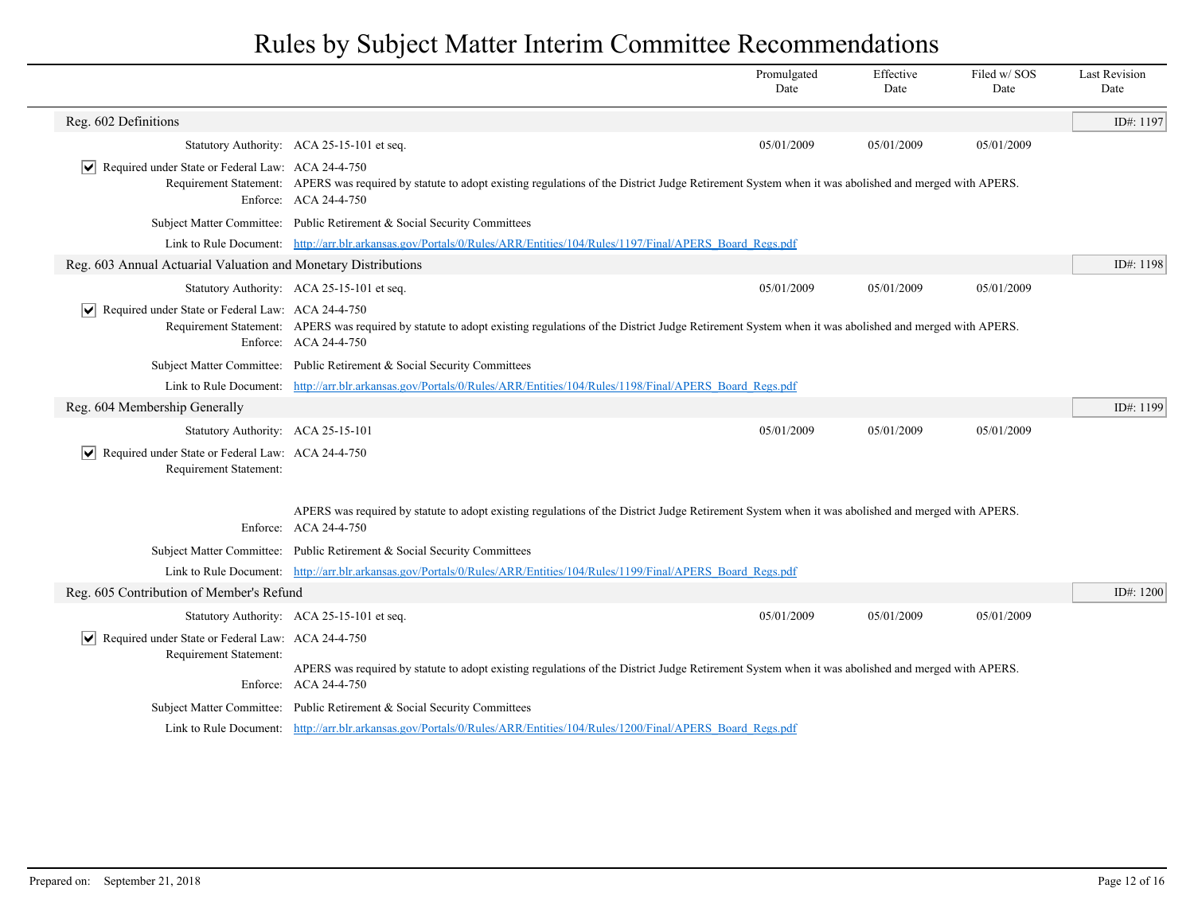|                                                                                                    |                                                                                                                                                                                                  | Promulgated<br>Date                                                                                                                                                     | Effective<br>Date | Filed w/SOS<br>Date | <b>Last Revision</b><br>Date |  |  |
|----------------------------------------------------------------------------------------------------|--------------------------------------------------------------------------------------------------------------------------------------------------------------------------------------------------|-------------------------------------------------------------------------------------------------------------------------------------------------------------------------|-------------------|---------------------|------------------------------|--|--|
| Reg. 602 Definitions                                                                               |                                                                                                                                                                                                  |                                                                                                                                                                         |                   |                     | ID#: 1197                    |  |  |
|                                                                                                    | Statutory Authority: ACA 25-15-101 et seq.                                                                                                                                                       | 05/01/2009                                                                                                                                                              | 05/01/2009        | 05/01/2009          |                              |  |  |
| Required under State or Federal Law: ACA 24-4-750                                                  | Enforce: ACA 24-4-750                                                                                                                                                                            | Requirement Statement: APERS was required by statute to adopt existing regulations of the District Judge Retirement System when it was abolished and merged with APERS. |                   |                     |                              |  |  |
|                                                                                                    | Subject Matter Committee: Public Retirement & Social Security Committees                                                                                                                         |                                                                                                                                                                         |                   |                     |                              |  |  |
|                                                                                                    | Link to Rule Document: http://arr.blr.arkansas.gov/Portals/0/Rules/ARR/Entities/104/Rules/1197/Final/APERS Board Regs.pdf                                                                        |                                                                                                                                                                         |                   |                     |                              |  |  |
| Reg. 603 Annual Actuarial Valuation and Monetary Distributions                                     |                                                                                                                                                                                                  |                                                                                                                                                                         |                   |                     | ID#: 1198                    |  |  |
|                                                                                                    | Statutory Authority: ACA 25-15-101 et seq.                                                                                                                                                       | 05/01/2009                                                                                                                                                              | 05/01/2009        | 05/01/2009          |                              |  |  |
| Required under State or Federal Law: ACA 24-4-750<br>$ \bm{\mathsf{v}} $                           | Requirement Statement: APERS was required by statute to adopt existing regulations of the District Judge Retirement System when it was abolished and merged with APERS.<br>Enforce: ACA 24-4-750 |                                                                                                                                                                         |                   |                     |                              |  |  |
|                                                                                                    | Subject Matter Committee: Public Retirement & Social Security Committees                                                                                                                         |                                                                                                                                                                         |                   |                     |                              |  |  |
|                                                                                                    | Link to Rule Document: http://arr.blr.arkansas.gov/Portals/0/Rules/ARR/Entities/104/Rules/1198/Final/APERS Board Regs.pdf                                                                        |                                                                                                                                                                         |                   |                     |                              |  |  |
| Reg. 604 Membership Generally                                                                      |                                                                                                                                                                                                  |                                                                                                                                                                         |                   |                     | ID#: 1199                    |  |  |
| Statutory Authority: ACA 25-15-101                                                                 |                                                                                                                                                                                                  | 05/01/2009                                                                                                                                                              | 05/01/2009        | 05/01/2009          |                              |  |  |
| Required under State or Federal Law: ACA 24-4-750<br>$ \bm{\mathsf{v}} $<br>Requirement Statement: |                                                                                                                                                                                                  |                                                                                                                                                                         |                   |                     |                              |  |  |
|                                                                                                    | APERS was required by statute to adopt existing regulations of the District Judge Retirement System when it was abolished and merged with APERS.<br>Enforce: ACA 24-4-750                        |                                                                                                                                                                         |                   |                     |                              |  |  |
|                                                                                                    | Subject Matter Committee: Public Retirement & Social Security Committees                                                                                                                         |                                                                                                                                                                         |                   |                     |                              |  |  |
|                                                                                                    | Link to Rule Document: http://arr.blr.arkansas.gov/Portals/0/Rules/ARR/Entities/104/Rules/1199/Final/APERS Board Regs.pdf                                                                        |                                                                                                                                                                         |                   |                     |                              |  |  |
| Reg. 605 Contribution of Member's Refund                                                           |                                                                                                                                                                                                  |                                                                                                                                                                         |                   |                     | ID#: 1200                    |  |  |
|                                                                                                    | Statutory Authority: ACA 25-15-101 et seq.                                                                                                                                                       | 05/01/2009                                                                                                                                                              | 05/01/2009        | 05/01/2009          |                              |  |  |
| Required under State or Federal Law: ACA 24-4-750<br>$ \bm{\mathsf{v}} $<br>Requirement Statement: |                                                                                                                                                                                                  |                                                                                                                                                                         |                   |                     |                              |  |  |
|                                                                                                    | APERS was required by statute to adopt existing regulations of the District Judge Retirement System when it was abolished and merged with APERS.<br>Enforce: ACA 24-4-750                        |                                                                                                                                                                         |                   |                     |                              |  |  |
|                                                                                                    | Subject Matter Committee: Public Retirement & Social Security Committees                                                                                                                         |                                                                                                                                                                         |                   |                     |                              |  |  |
|                                                                                                    | Link to Rule Document: http://arr.blr.arkansas.gov/Portals/0/Rules/ARR/Entities/104/Rules/1200/Final/APERS Board Regs.pdf                                                                        |                                                                                                                                                                         |                   |                     |                              |  |  |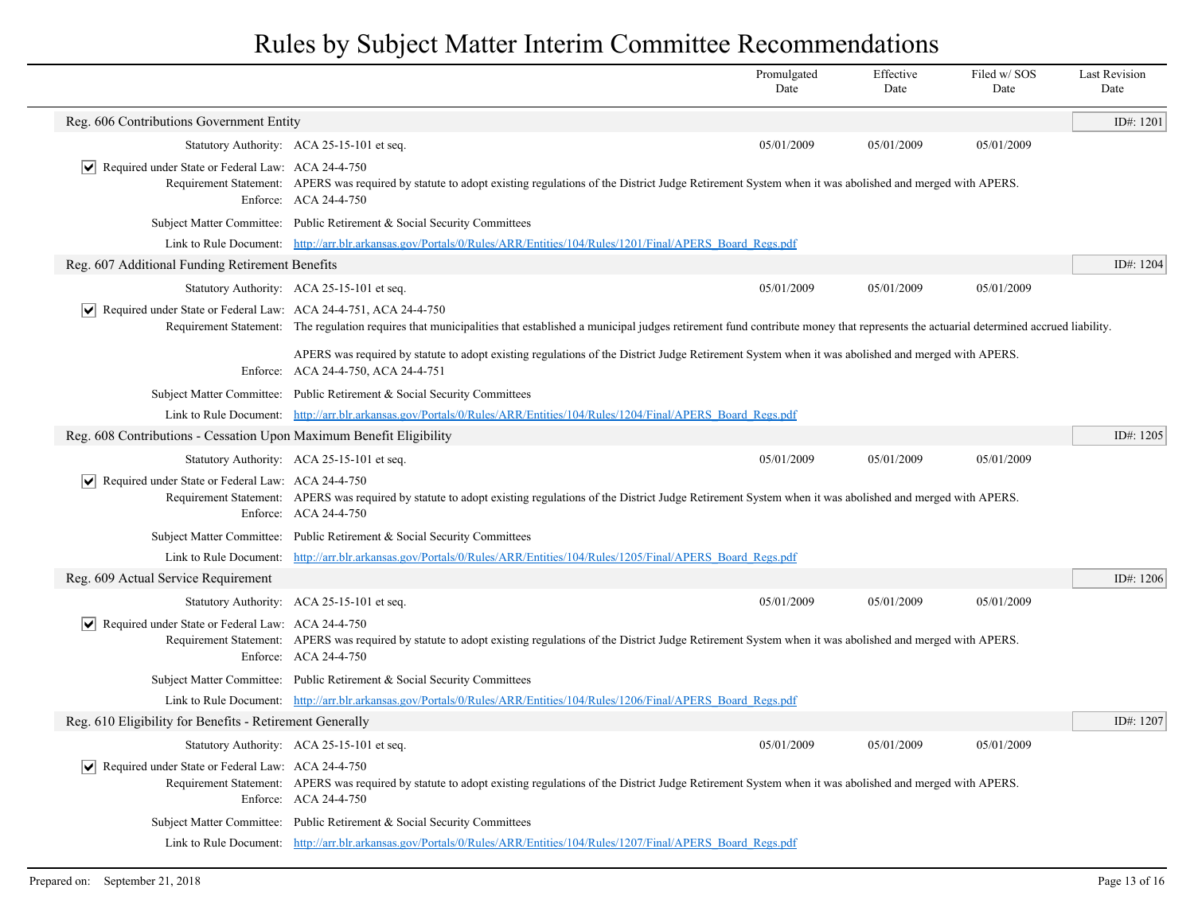|                                                                                |                                                                                                                                                                                                     | Promulgated<br>Date | Effective<br>Date | Filed w/ SOS<br>Date | <b>Last Revision</b><br>Date |
|--------------------------------------------------------------------------------|-----------------------------------------------------------------------------------------------------------------------------------------------------------------------------------------------------|---------------------|-------------------|----------------------|------------------------------|
| Reg. 606 Contributions Government Entity                                       |                                                                                                                                                                                                     |                     |                   |                      | ID#: 1201                    |
|                                                                                | Statutory Authority: ACA 25-15-101 et seq.                                                                                                                                                          | 05/01/2009          | 05/01/2009        | 05/01/2009           |                              |
| $ \mathbf{v} $ Required under State or Federal Law: ACA 24-4-750               | Requirement Statement: APERS was required by statute to adopt existing regulations of the District Judge Retirement System when it was abolished and merged with APERS.<br>Enforce: ACA 24-4-750    |                     |                   |                      |                              |
|                                                                                | Subject Matter Committee: Public Retirement & Social Security Committees                                                                                                                            |                     |                   |                      |                              |
|                                                                                | Link to Rule Document: http://arr.blr.arkansas.gov/Portals/0/Rules/ARR/Entities/104/Rules/1201/Final/APERS Board Regs.pdf                                                                           |                     |                   |                      |                              |
| Reg. 607 Additional Funding Retirement Benefits                                |                                                                                                                                                                                                     |                     |                   |                      | ID#: 1204                    |
|                                                                                | Statutory Authority: ACA 25-15-101 et seq.                                                                                                                                                          | 05/01/2009          | 05/01/2009        | 05/01/2009           |                              |
| $ \mathbf{v} $ Required under State or Federal Law: ACA 24-4-751, ACA 24-4-750 | Requirement Statement: The regulation requires that municipalities that established a municipal judges retirement fund contribute money that represents the actuarial determined accrued liability. |                     |                   |                      |                              |
|                                                                                | APERS was required by statute to adopt existing regulations of the District Judge Retirement System when it was abolished and merged with APERS.<br>Enforce: ACA 24-4-750, ACA 24-4-751             |                     |                   |                      |                              |
|                                                                                | Subject Matter Committee: Public Retirement & Social Security Committees                                                                                                                            |                     |                   |                      |                              |
|                                                                                | Link to Rule Document: http://arr.blr.arkansas.gov/Portals/0/Rules/ARR/Entities/104/Rules/1204/Final/APERS Board Regs.pdf                                                                           |                     |                   |                      |                              |
| Reg. 608 Contributions - Cessation Upon Maximum Benefit Eligibility            |                                                                                                                                                                                                     |                     |                   |                      | ID#: $1205$                  |
|                                                                                | Statutory Authority: ACA 25-15-101 et seq.                                                                                                                                                          | 05/01/2009          | 05/01/2009        | 05/01/2009           |                              |
| $ \mathbf{v} $ Required under State or Federal Law: ACA 24-4-750               | Requirement Statement: APERS was required by statute to adopt existing regulations of the District Judge Retirement System when it was abolished and merged with APERS.<br>Enforce: ACA 24-4-750    |                     |                   |                      |                              |
|                                                                                | Subject Matter Committee: Public Retirement & Social Security Committees                                                                                                                            |                     |                   |                      |                              |
|                                                                                | Link to Rule Document: http://arr.blr.arkansas.gov/Portals/0/Rules/ARR/Entities/104/Rules/1205/Final/APERS Board Regs.pdf                                                                           |                     |                   |                      |                              |
| Reg. 609 Actual Service Requirement                                            |                                                                                                                                                                                                     |                     |                   |                      | ID#: 1206                    |
|                                                                                | Statutory Authority: ACA 25-15-101 et seq.                                                                                                                                                          | 05/01/2009          | 05/01/2009        | 05/01/2009           |                              |
| $ \mathbf{v} $ Required under State or Federal Law: ACA 24-4-750               | Requirement Statement: APERS was required by statute to adopt existing regulations of the District Judge Retirement System when it was abolished and merged with APERS.<br>Enforce: ACA 24-4-750    |                     |                   |                      |                              |
|                                                                                | Subject Matter Committee: Public Retirement & Social Security Committees                                                                                                                            |                     |                   |                      |                              |
|                                                                                | Link to Rule Document: http://arr.blr.arkansas.gov/Portals/0/Rules/ARR/Entities/104/Rules/1206/Final/APERS Board Regs.pdf                                                                           |                     |                   |                      |                              |
| Reg. 610 Eligibility for Benefits - Retirement Generally                       |                                                                                                                                                                                                     |                     |                   |                      | ID#: 1207                    |
|                                                                                | Statutory Authority: ACA 25-15-101 et seq.                                                                                                                                                          | 05/01/2009          | 05/01/2009        | 05/01/2009           |                              |
| $ \mathbf{v} $ Required under State or Federal Law: ACA 24-4-750               | Requirement Statement: APERS was required by statute to adopt existing regulations of the District Judge Retirement System when it was abolished and merged with APERS.<br>Enforce: ACA 24-4-750    |                     |                   |                      |                              |
|                                                                                | Subject Matter Committee: Public Retirement & Social Security Committees                                                                                                                            |                     |                   |                      |                              |
|                                                                                | Link to Rule Document: http://arr.blr.arkansas.gov/Portals/0/Rules/ARR/Entities/104/Rules/1207/Final/APERS Board Regs.pdf                                                                           |                     |                   |                      |                              |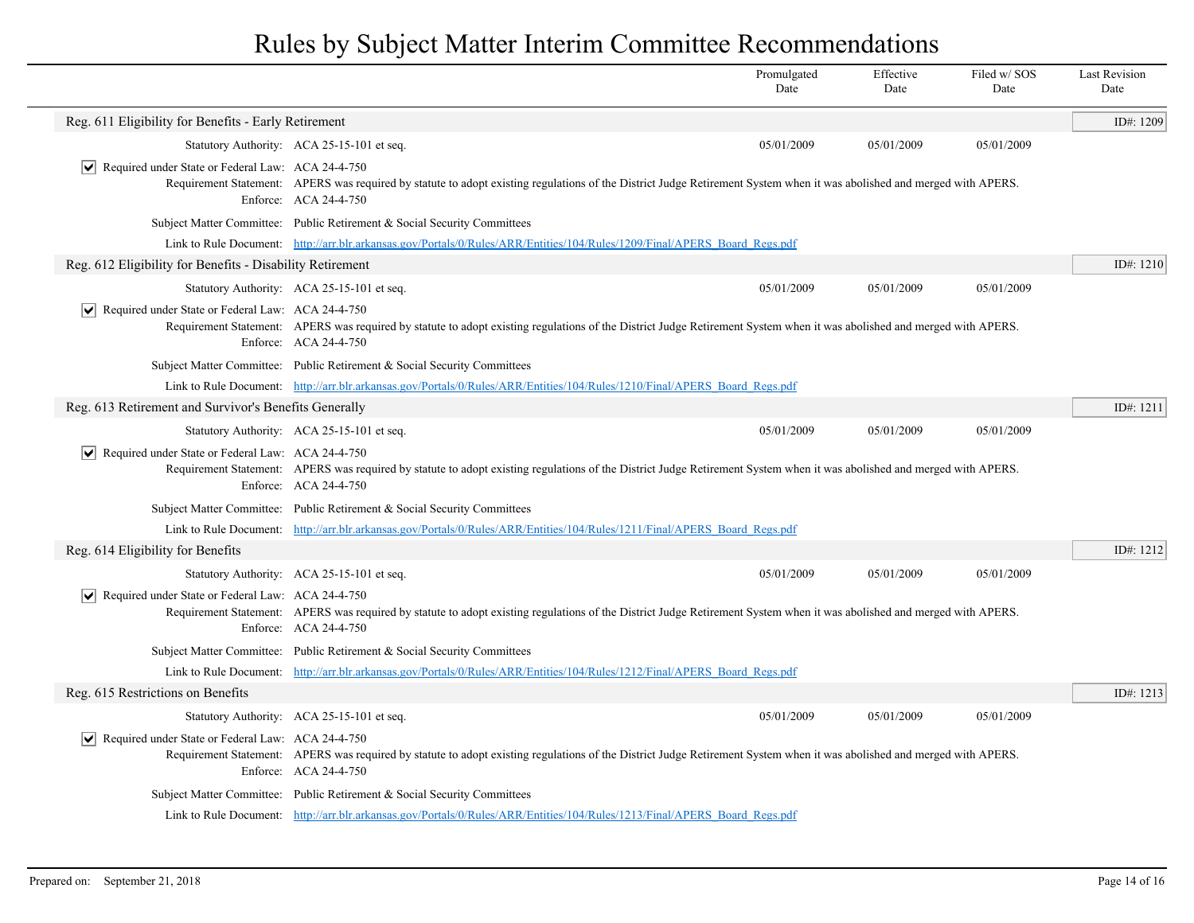|                                                                  |                                                                                                                                                                                                  | Promulgated<br>Date | Effective<br>Date | Filed w/SOS<br>Date | <b>Last Revision</b><br>Date |
|------------------------------------------------------------------|--------------------------------------------------------------------------------------------------------------------------------------------------------------------------------------------------|---------------------|-------------------|---------------------|------------------------------|
| Reg. 611 Eligibility for Benefits - Early Retirement             |                                                                                                                                                                                                  |                     |                   |                     | ID#: 1209                    |
|                                                                  | Statutory Authority: ACA 25-15-101 et seq.                                                                                                                                                       | 05/01/2009          | 05/01/2009        | 05/01/2009          |                              |
| $ \mathbf{v} $ Required under State or Federal Law: ACA 24-4-750 | Requirement Statement: APERS was required by statute to adopt existing regulations of the District Judge Retirement System when it was abolished and merged with APERS.<br>Enforce: ACA 24-4-750 |                     |                   |                     |                              |
|                                                                  | Subject Matter Committee: Public Retirement & Social Security Committees                                                                                                                         |                     |                   |                     |                              |
|                                                                  | Link to Rule Document: http://arr.blr.arkansas.gov/Portals/0/Rules/ARR/Entities/104/Rules/1209/Final/APERS Board Regs.pdf                                                                        |                     |                   |                     |                              |
| Reg. 612 Eligibility for Benefits - Disability Retirement        |                                                                                                                                                                                                  |                     |                   |                     | ID#: 1210                    |
|                                                                  | Statutory Authority: ACA 25-15-101 et seq.                                                                                                                                                       | 05/01/2009          | 05/01/2009        | 05/01/2009          |                              |
| $ \mathbf{v} $ Required under State or Federal Law: ACA 24-4-750 | Requirement Statement: APERS was required by statute to adopt existing regulations of the District Judge Retirement System when it was abolished and merged with APERS.<br>Enforce: ACA 24-4-750 |                     |                   |                     |                              |
|                                                                  | Subject Matter Committee: Public Retirement & Social Security Committees                                                                                                                         |                     |                   |                     |                              |
|                                                                  | Link to Rule Document: http://arr.blr.arkansas.gov/Portals/0/Rules/ARR/Entities/104/Rules/1210/Final/APERS Board Regs.pdf                                                                        |                     |                   |                     |                              |
| Reg. 613 Retirement and Survivor's Benefits Generally            |                                                                                                                                                                                                  |                     |                   |                     | ID#: 1211                    |
|                                                                  | Statutory Authority: ACA 25-15-101 et seq.                                                                                                                                                       | 05/01/2009          | 05/01/2009        | 05/01/2009          |                              |
| $ \mathbf{v} $ Required under State or Federal Law: ACA 24-4-750 | Requirement Statement: APERS was required by statute to adopt existing regulations of the District Judge Retirement System when it was abolished and merged with APERS.<br>Enforce: ACA 24-4-750 |                     |                   |                     |                              |
|                                                                  | Subject Matter Committee: Public Retirement & Social Security Committees                                                                                                                         |                     |                   |                     |                              |
|                                                                  | Link to Rule Document: http://arr.blr.arkansas.gov/Portals/0/Rules/ARR/Entities/104/Rules/1211/Final/APERS Board Regs.pdf                                                                        |                     |                   |                     |                              |
| Reg. 614 Eligibility for Benefits                                |                                                                                                                                                                                                  |                     |                   |                     | ID#: 1212                    |
|                                                                  | Statutory Authority: ACA 25-15-101 et seq.                                                                                                                                                       | 05/01/2009          | 05/01/2009        | 05/01/2009          |                              |
| $ \mathbf{v} $ Required under State or Federal Law: ACA 24-4-750 | Requirement Statement: APERS was required by statute to adopt existing regulations of the District Judge Retirement System when it was abolished and merged with APERS.<br>Enforce: ACA 24-4-750 |                     |                   |                     |                              |
|                                                                  | Subject Matter Committee: Public Retirement & Social Security Committees                                                                                                                         |                     |                   |                     |                              |
|                                                                  | Link to Rule Document: http://arr.blr.arkansas.gov/Portals/0/Rules/ARR/Entities/104/Rules/1212/Final/APERS Board Regs.pdf                                                                        |                     |                   |                     |                              |
| Reg. 615 Restrictions on Benefits                                |                                                                                                                                                                                                  |                     |                   |                     | ID#: 1213                    |
|                                                                  | Statutory Authority: ACA 25-15-101 et seq.                                                                                                                                                       | 05/01/2009          | 05/01/2009        | 05/01/2009          |                              |
| $ \mathbf{v} $ Required under State or Federal Law: ACA 24-4-750 | Requirement Statement: APERS was required by statute to adopt existing regulations of the District Judge Retirement System when it was abolished and merged with APERS.<br>Enforce: ACA 24-4-750 |                     |                   |                     |                              |
|                                                                  | Subject Matter Committee: Public Retirement & Social Security Committees                                                                                                                         |                     |                   |                     |                              |
|                                                                  | Link to Rule Document: http://arr.blr.arkansas.gov/Portals/0/Rules/ARR/Entities/104/Rules/1213/Final/APERS Board Regs.pdf                                                                        |                     |                   |                     |                              |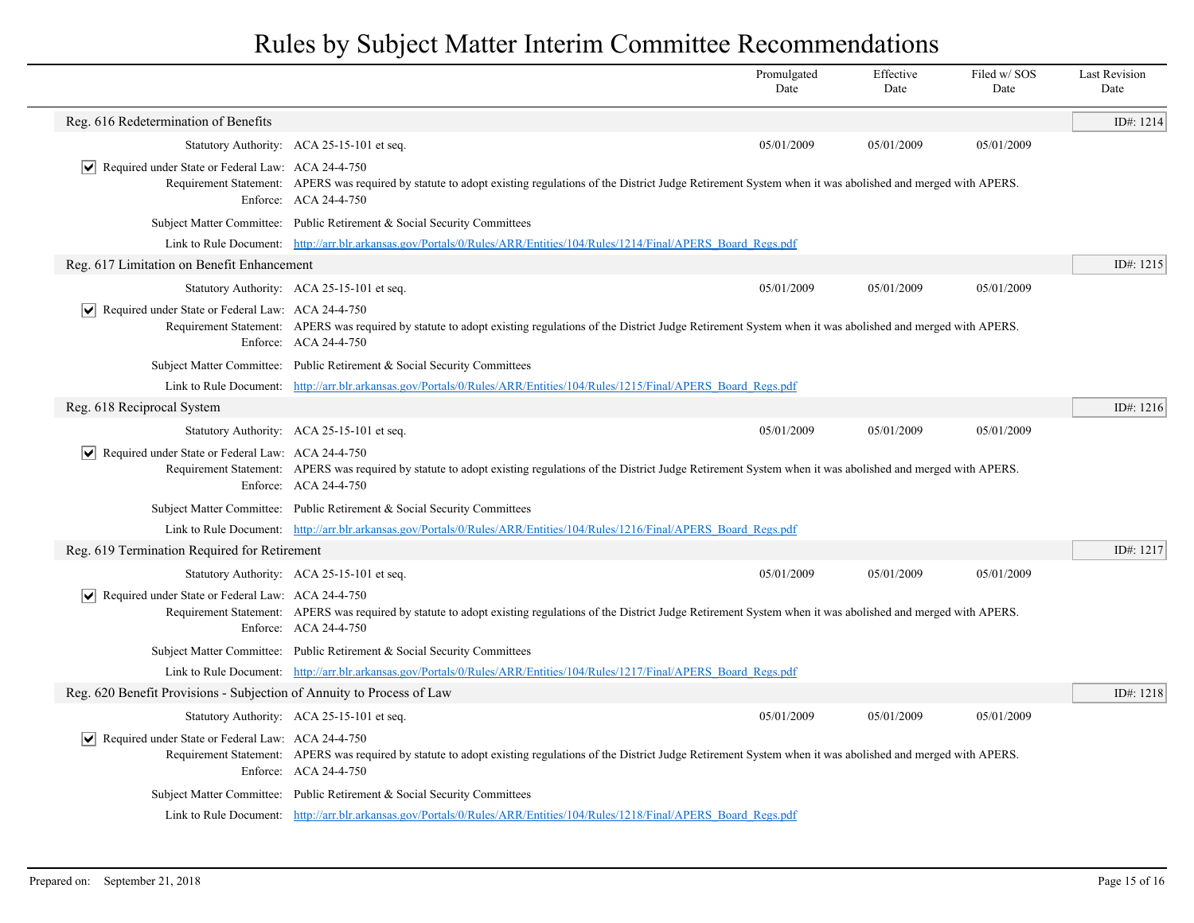|                                                                       |                                                                                                                                                                                                  | Promulgated<br>Date | Effective<br>Date | Filed w/SOS<br>Date | <b>Last Revision</b><br>Date |
|-----------------------------------------------------------------------|--------------------------------------------------------------------------------------------------------------------------------------------------------------------------------------------------|---------------------|-------------------|---------------------|------------------------------|
| Reg. 616 Redetermination of Benefits                                  |                                                                                                                                                                                                  |                     |                   |                     | ID#: 1214                    |
|                                                                       | Statutory Authority: ACA 25-15-101 et seq.                                                                                                                                                       | 05/01/2009          | 05/01/2009        | 05/01/2009          |                              |
| $ \mathbf{v} $ Required under State or Federal Law: ACA 24-4-750      | Requirement Statement: APERS was required by statute to adopt existing regulations of the District Judge Retirement System when it was abolished and merged with APERS.<br>Enforce: ACA 24-4-750 |                     |                   |                     |                              |
|                                                                       | Subject Matter Committee: Public Retirement & Social Security Committees                                                                                                                         |                     |                   |                     |                              |
|                                                                       | Link to Rule Document: http://arr.blr.arkansas.gov/Portals/0/Rules/ARR/Entities/104/Rules/1214/Final/APERS Board Regs.pdf                                                                        |                     |                   |                     |                              |
| Reg. 617 Limitation on Benefit Enhancement                            |                                                                                                                                                                                                  |                     |                   |                     | ID#: 1215                    |
|                                                                       | Statutory Authority: ACA 25-15-101 et seq.                                                                                                                                                       | 05/01/2009          | 05/01/2009        | 05/01/2009          |                              |
| $ \mathbf{v} $ Required under State or Federal Law: ACA 24-4-750      | Requirement Statement: APERS was required by statute to adopt existing regulations of the District Judge Retirement System when it was abolished and merged with APERS.<br>Enforce: ACA 24-4-750 |                     |                   |                     |                              |
|                                                                       | Subject Matter Committee: Public Retirement & Social Security Committees                                                                                                                         |                     |                   |                     |                              |
|                                                                       | Link to Rule Document: http://arr.blr.arkansas.gov/Portals/0/Rules/ARR/Entities/104/Rules/1215/Final/APERS Board Regs.pdf                                                                        |                     |                   |                     |                              |
| Reg. 618 Reciprocal System                                            |                                                                                                                                                                                                  |                     |                   |                     | ID#: 1216                    |
|                                                                       | Statutory Authority: ACA 25-15-101 et seq.                                                                                                                                                       | 05/01/2009          | 05/01/2009        | 05/01/2009          |                              |
| Required under State or Federal Law: ACA 24-4-750                     | Requirement Statement: APERS was required by statute to adopt existing regulations of the District Judge Retirement System when it was abolished and merged with APERS.<br>Enforce: ACA 24-4-750 |                     |                   |                     |                              |
|                                                                       | Subject Matter Committee: Public Retirement & Social Security Committees                                                                                                                         |                     |                   |                     |                              |
|                                                                       | Link to Rule Document: http://arr.blr.arkansas.gov/Portals/0/Rules/ARR/Entities/104/Rules/1216/Final/APERS Board Regs.pdf                                                                        |                     |                   |                     |                              |
| Reg. 619 Termination Required for Retirement                          |                                                                                                                                                                                                  |                     |                   |                     | ID#: 1217                    |
|                                                                       | Statutory Authority: ACA 25-15-101 et seq.                                                                                                                                                       | 05/01/2009          | 05/01/2009        | 05/01/2009          |                              |
| Required under State or Federal Law: ACA 24-4-750                     | Requirement Statement: APERS was required by statute to adopt existing regulations of the District Judge Retirement System when it was abolished and merged with APERS.<br>Enforce: ACA 24-4-750 |                     |                   |                     |                              |
|                                                                       | Subject Matter Committee: Public Retirement & Social Security Committees                                                                                                                         |                     |                   |                     |                              |
|                                                                       | Link to Rule Document: http://arr.blr.arkansas.gov/Portals/0/Rules/ARR/Entities/104/Rules/1217/Final/APERS Board Regs.pdf                                                                        |                     |                   |                     |                              |
| Reg. 620 Benefit Provisions - Subjection of Annuity to Process of Law |                                                                                                                                                                                                  |                     |                   |                     | ID#: 1218                    |
|                                                                       | Statutory Authority: ACA 25-15-101 et seq.                                                                                                                                                       | 05/01/2009          | 05/01/2009        | 05/01/2009          |                              |
| $ \mathbf{v} $ Required under State or Federal Law: ACA 24-4-750      | Requirement Statement: APERS was required by statute to adopt existing regulations of the District Judge Retirement System when it was abolished and merged with APERS.<br>Enforce: ACA 24-4-750 |                     |                   |                     |                              |
|                                                                       | Subject Matter Committee: Public Retirement & Social Security Committees                                                                                                                         |                     |                   |                     |                              |
|                                                                       | Link to Rule Document: http://arr.blr.arkansas.gov/Portals/0/Rules/ARR/Entities/104/Rules/1218/Final/APERS Board Regs.pdf                                                                        |                     |                   |                     |                              |